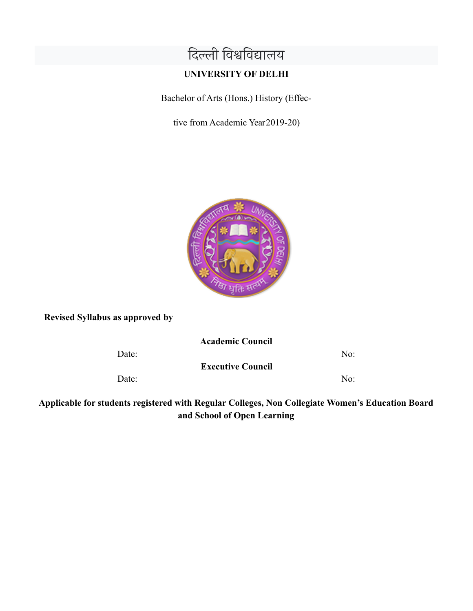# दिल्ली विश्वविद्यालय

# **UNIVERSITY OF DELHI**

Bachelor of Arts (Hons.) History (Effec-

tive from Academic Year2019-20)



**Revised Syllabus as approved by**

**Academic Council**

Date: No:

**Executive Council**

Date: No:

**Applicable for students registered with Regular Colleges, Non Collegiate Women's Education Board and School of Open Learning**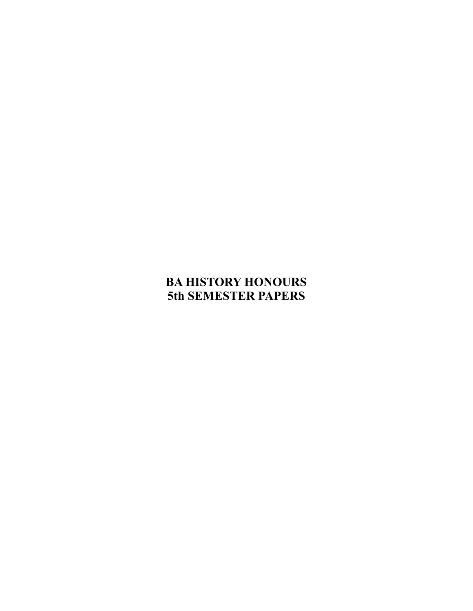# **BA HISTORY HONOURS 5th SEMESTER PAPERS**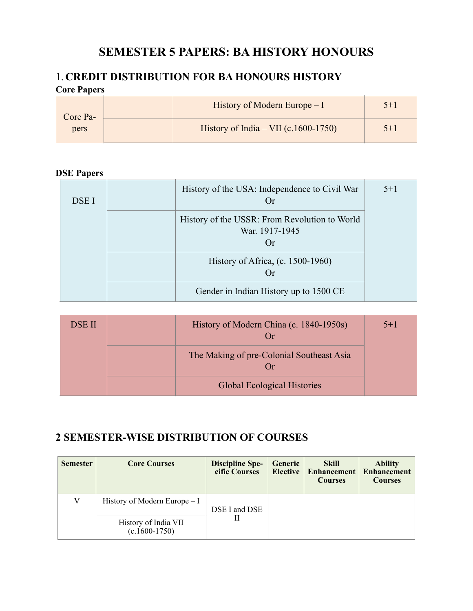# **SEMESTER 5 PAPERS: BA HISTORY HONOURS**

# 1. **CREDIT DISTRIBUTION FOR BA HONOURS HISTORY Core Papers**

| Core Pa-<br>pers | History of Modern Europe $-I$          | $5 + 1$ |
|------------------|----------------------------------------|---------|
|                  | History of India – VII $(c.1600-1750)$ | $5 + 1$ |

# **DSE Papers**

| DSE I | History of the USA: Independence to Civil War<br>Or                    | $5 + 1$ |
|-------|------------------------------------------------------------------------|---------|
|       | History of the USSR: From Revolution to World<br>War. 1917-1945<br>()r |         |
|       | History of Africa, (c. 1500-1960)<br>Or                                |         |
|       | Gender in Indian History up to 1500 CE                                 |         |

| <b>DSE II</b> | History of Modern China (c. 1840-1950s)<br>$\Box$ r   | $5 + 1$ |
|---------------|-------------------------------------------------------|---------|
|               | The Making of pre-Colonial Southeast Asia<br>$\Box$ r |         |
|               | <b>Global Ecological Histories</b>                    |         |

# **2 SEMESTER-WISE DISTRIBUTION OF COURSES**

| <b>Semester</b> | <b>Core Courses</b>                            | <b>Discipline Spe-</b><br>cific Courses | Generic<br><b>Elective</b> | <b>Skill</b><br>Enhancement<br><b>Courses</b> | <b>Ability</b><br><b>Enhancement</b><br><b>Courses</b> |
|-----------------|------------------------------------------------|-----------------------------------------|----------------------------|-----------------------------------------------|--------------------------------------------------------|
| V               | History of Modern Europe $-I$<br>DSE I and DSE |                                         |                            |                                               |                                                        |
|                 | History of India VII<br>$(c.1600-1750)$        |                                         |                            |                                               |                                                        |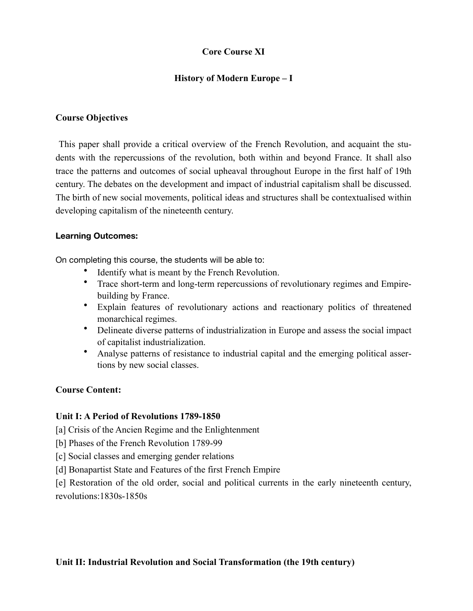# **Core Course XI**

# **History of Modern Europe – I**

### **Course Objectives**

 This paper shall provide a critical overview of the French Revolution, and acquaint the students with the repercussions of the revolution, both within and beyond France. It shall also trace the patterns and outcomes of social upheaval throughout Europe in the first half of 19th century. The debates on the development and impact of industrial capitalism shall be discussed. The birth of new social movements, political ideas and structures shall be contextualised within developing capitalism of the nineteenth century.

#### **Learning Outcomes:**

On completing this course, the students will be able to:

- Identify what is meant by the French Revolution.
- Trace short-term and long-term repercussions of revolutionary regimes and Empirebuilding by France.
- Explain features of revolutionary actions and reactionary politics of threatened monarchical regimes.
- Delineate diverse patterns of industrialization in Europe and assess the social impact of capitalist industrialization.
- Analyse patterns of resistance to industrial capital and the emerging political assertions by new social classes.

## **Course Content:**

#### **Unit I: A Period of Revolutions 1789-1850**

[a] Crisis of the Ancien Regime and the Enlightenment

- [b] Phases of the French Revolution 1789-99
- [c] Social classes and emerging gender relations
- [d] Bonapartist State and Features of the first French Empire

[e] Restoration of the old order, social and political currents in the early nineteenth century, revolutions:1830s-1850s

## **Unit II: Industrial Revolution and Social Transformation (the 19th century)**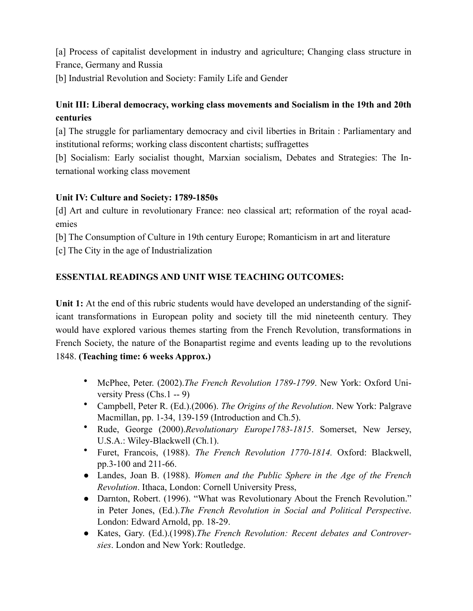[a] Process of capitalist development in industry and agriculture; Changing class structure in France, Germany and Russia

[b] Industrial Revolution and Society: Family Life and Gender

# **Unit III: Liberal democracy, working class movements and Socialism in the 19th and 20th centuries**

[a] The struggle for parliamentary democracy and civil liberties in Britain : Parliamentary and institutional reforms; working class discontent chartists; suffragettes

[b] Socialism: Early socialist thought, Marxian socialism, Debates and Strategies: The International working class movement

# **Unit IV: Culture and Society: 1789-1850s**

[d] Art and culture in revolutionary France: neo classical art; reformation of the royal academies

[b] The Consumption of Culture in 19th century Europe; Romanticism in art and literature

[c] The City in the age of Industrialization

# **ESSENTIAL READINGS AND UNIT WISE TEACHING OUTCOMES:**

**Unit 1:** At the end of this rubric students would have developed an understanding of the significant transformations in European polity and society till the mid nineteenth century. They would have explored various themes starting from the French Revolution, transformations in French Society, the nature of the Bonapartist regime and events leading up to the revolutions 1848. **(Teaching time: 6 weeks Approx.)**

- McPhee, Peter. (2002).*The French Revolution 1789-1799*. New York: Oxford University Press (Chs.1 -- 9)
- Campbell, Peter R. (Ed.).(2006). *The Origins of the Revolution*. New York: Palgrave Macmillan, pp. 1-34, 139-159 (Introduction and Ch.5).
- Rude, George (2000).*Revolutionary Europe1783-1815*. Somerset, New Jersey, U.S.A.: Wiley-Blackwell (Ch.1).
- Furet, Francois, (1988). *The French Revolution 1770-1814.* Oxford: Blackwell, pp.3-100 and 211-66.
- Landes, Joan B. (1988). *Women and the Public Sphere in the Age of the French Revolution*. Ithaca, London: Cornell University Press,
- Darnton, Robert. (1996). "What was Revolutionary About the French Revolution." in Peter Jones, (Ed.).*The French Revolution in Social and Political Perspective*. London: Edward Arnold, pp. 18-29.
- Kates, Gary. (Ed.).(1998).*The French Revolution: Recent debates and Controversies*. London and New York: Routledge.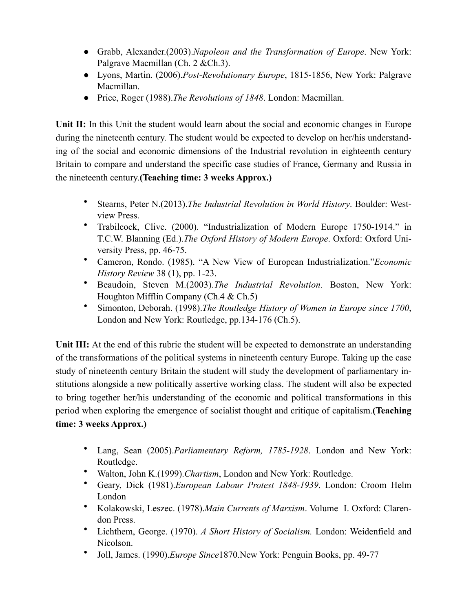- Grabb, Alexander.(2003).*Napoleon and the Transformation of Europe*. New York: Palgrave Macmillan (Ch. 2 & Ch. 3).
- Lyons, Martin. (2006).*Post-Revolutionary Europe*, 1815-1856, New York: Palgrave Macmillan.
- Price, Roger (1988).*The Revolutions of 1848*. London: Macmillan.

Unit II: In this Unit the student would learn about the social and economic changes in Europe during the nineteenth century. The student would be expected to develop on her/his understanding of the social and economic dimensions of the Industrial revolution in eighteenth century Britain to compare and understand the specific case studies of France, Germany and Russia in the nineteenth century.**(Teaching time: 3 weeks Approx.)**

- Stearns, Peter N.(2013).*The Industrial Revolution in World History*. Boulder: Westview Press.
- Trabilcock, Clive. (2000). "Industrialization of Modern Europe 1750-1914." in T.C.W. Blanning (Ed.).*The Oxford History of Modern Europe*. Oxford: Oxford University Press, pp. 46-75.
- Cameron, Rondo. (1985). "A New View of European Industrialization."*Economic History Review* 38 (1), pp. 1-23.
- Beaudoin, Steven M.(2003).*The Industrial Revolution.* Boston, New York: Houghton Mifflin Company (Ch.4 & Ch.5)
- Simonton, Deborah. (1998).*The Routledge History of Women in Europe since 1700*, London and New York: Routledge, pp.134-176 (Ch.5).

**Unit III:** At the end of this rubric the student will be expected to demonstrate an understanding of the transformations of the political systems in nineteenth century Europe. Taking up the case study of nineteenth century Britain the student will study the development of parliamentary institutions alongside a new politically assertive working class. The student will also be expected to bring together her/his understanding of the economic and political transformations in this period when exploring the emergence of socialist thought and critique of capitalism.**(Teaching time: 3 weeks Approx.)**

- Lang, Sean (2005).*Parliamentary Reform, 1785-1928*. London and New York: Routledge.
- Walton, John K.(1999).*Chartism*, London and New York: Routledge.
- Geary, Dick (1981).*European Labour Protest 1848-1939*. London: Croom Helm London
- Kolakowski, Leszec. (1978).*Main Currents of Marxism*. Volume I. Oxford: Clarendon Press.
- Lichthem, George. (1970). *A Short History of Socialism.* London: Weidenfield and Nicolson.
- Joll, James. (1990).*Europe Since*1870.New York: Penguin Books, pp. 49-77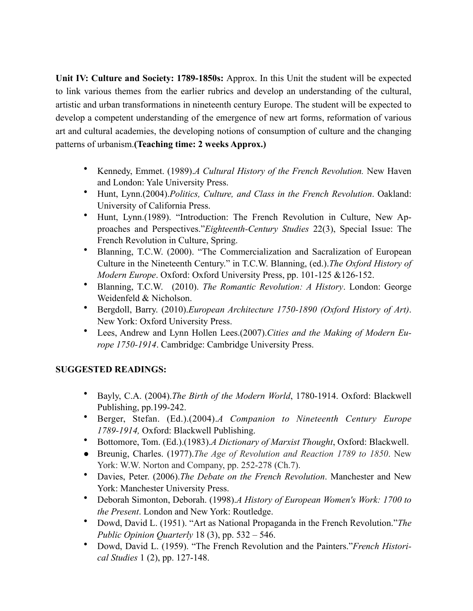**Unit IV: Culture and Society: 1789-1850s:** Approx. In this Unit the student will be expected to link various themes from the earlier rubrics and develop an understanding of the cultural, artistic and urban transformations in nineteenth century Europe. The student will be expected to develop a competent understanding of the emergence of new art forms, reformation of various art and cultural academies, the developing notions of consumption of culture and the changing patterns of urbanism.**(Teaching time: 2 weeks Approx.)**

- Kennedy, Emmet. (1989).*A Cultural History of the French Revolution.* New Haven and London: Yale University Press.
- Hunt, Lynn.(2004).*Politics, Culture, and Class in the French Revolution*. Oakland: University of California Press.
- Hunt, Lynn.(1989). "Introduction: The French Revolution in Culture, New Approaches and Perspectives."*Eighteenth-Century Studies* 22(3), Special Issue: The French Revolution in Culture, Spring.
- Blanning, T.C.W. (2000). "The Commercialization and Sacralization of European Culture in the Nineteenth Century." in T.C.W. Blanning, (ed.).*The Oxford History of Modern Europe*. Oxford: Oxford University Press, pp. 101-125 &126-152.
- Blanning, T.C.W. (2010). *The Romantic Revolution: A History*. London: George Weidenfeld & Nicholson.
- Bergdoll, Barry. (2010).*European Architecture 1750-1890 (Oxford History of Art)*. New York: Oxford University Press.
- Lees, Andrew and Lynn Hollen Lees.(2007).*Cities and the Making of Modern Europe 1750-1914*. Cambridge: Cambridge University Press.

# **SUGGESTED READINGS:**

- Bayly, C.A. (2004).*The Birth of the Modern World*, 1780-1914. Oxford: Blackwell Publishing, pp.199-242.
- Berger, Stefan. (Ed.).(2004).*A Companion to Nineteenth Century Europe 1789-1914,* Oxford: Blackwell Publishing.
- Bottomore, Tom. (Ed.).(1983).*A Dictionary of Marxist Thought*, Oxford: Blackwell.
- Breunig, Charles. (1977).*The Age of Revolution and Reaction 1789 to 1850*. New York: W.W. Norton and Company, pp. 252-278 (Ch.7).
- Davies, Peter. (2006).*The Debate on the French Revolution*. Manchester and New York: Manchester University Press.
- Deborah Simonton, Deborah. (1998).*A History of European Women's Work: 1700 to the Present*. London and New York: Routledge.
- Dowd, David L. (1951). "Art as National Propaganda in the French Revolution."*The Public Opinion Quarterly* 18 (3), pp. 532 – 546.
- Dowd, David L. (1959). "The French Revolution and the Painters."*French Historical Studies* 1 (2), pp. 127-148.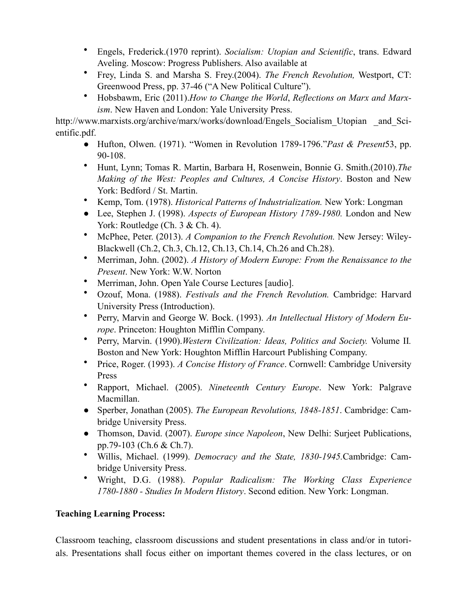- Engels, Frederick.(1970 reprint). *Socialism: Utopian and Scientific*, trans. Edward Aveling. Moscow: Progress Publishers. Also available at
- Frey, Linda S. and Marsha S. Frey.(2004). *The French Revolution,* Westport, CT: Greenwood Press, pp. 37-46 ("A New Political Culture").
- Hobsbawm, Eric (2011).*How to Change the World*, *Reflections on Marx and Marxism*. New Haven and London: Yale University Press.

http://www.marxists.org/archive/marx/works/download/Engels\_Socialism\_Utopian \_and\_Scientific.pdf.

- Hufton, Olwen. (1971). "Women in Revolution 1789-1796."*Past & Present*53, pp. 90-108.
- Hunt, Lynn; Tomas R. Martin, Barbara H, Rosenwein, Bonnie G. Smith.(2010).*The Making of the West: Peoples and Cultures, A Concise History*. Boston and New York: Bedford / St. Martin.
- Kemp, Tom. (1978). *Historical Patterns of Industrialization.* New York: Longman
- Lee, Stephen J. (1998). *Aspects of European History 1789-1980.* London and New York: Routledge (Ch. 3 & Ch. 4).
- McPhee, Peter. (2013). *A Companion to the French Revolution.* New Jersey: Wiley-Blackwell (Ch.2, Ch.3, Ch.12, Ch.13, Ch.14, Ch.26 and Ch.28).
- Merriman, John. (2002). *A History of Modern Europe: From the Renaissance to the Present*. New York: W.W. Norton
- Merriman, John. Open Yale Course Lectures [audio].
- Ozouf, Mona. (1988). *Festivals and the French Revolution.* Cambridge: Harvard University Press (Introduction).
- Perry, Marvin and George W. Bock. (1993). *An Intellectual History of Modern Europe*. Princeton: Houghton Mifflin Company.
- Perry, Marvin. (1990).*Western Civilization: Ideas, Politics and Society.* Volume II*.*  Boston and New York: Houghton Mifflin Harcourt Publishing Company.
- Price, Roger. (1993). *A Concise History of France*. Cornwell: Cambridge University Press
- Rapport, Michael. (2005). *Nineteenth Century Europe*. New York: Palgrave Macmillan.
- Sperber, Jonathan (2005). *The European Revolutions, 1848-1851*. Cambridge: Cambridge University Press.
- Thomson, David. (2007). *Europe since Napoleon*, New Delhi: Surjeet Publications, pp.79-103 (Ch.6 & Ch.7).
- Willis, Michael. (1999). *Democracy and the State, 1830-1945.*Cambridge: Cambridge University Press.
- Wright, D.G. (1988). *Popular Radicalism: The Working Class Experience 1780-1880 - Studies In Modern History*. Second edition. New York: Longman.

# **Teaching Learning Process:**

Classroom teaching, classroom discussions and student presentations in class and/or in tutorials. Presentations shall focus either on important themes covered in the class lectures, or on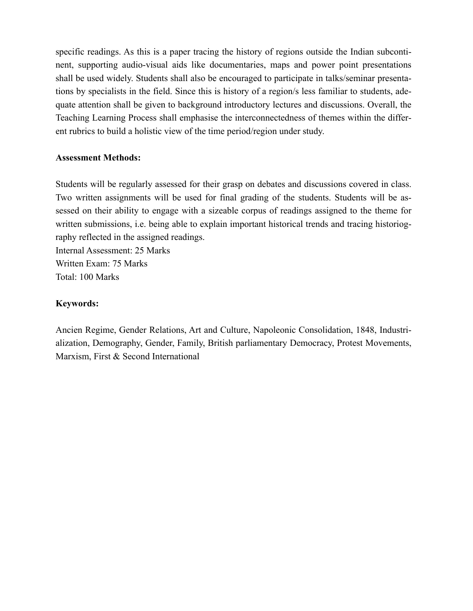specific readings. As this is a paper tracing the history of regions outside the Indian subcontinent, supporting audio-visual aids like documentaries, maps and power point presentations shall be used widely. Students shall also be encouraged to participate in talks/seminar presentations by specialists in the field. Since this is history of a region/s less familiar to students, adequate attention shall be given to background introductory lectures and discussions. Overall, the Teaching Learning Process shall emphasise the interconnectedness of themes within the different rubrics to build a holistic view of the time period/region under study.

### **Assessment Methods:**

Students will be regularly assessed for their grasp on debates and discussions covered in class. Two written assignments will be used for final grading of the students. Students will be assessed on their ability to engage with a sizeable corpus of readings assigned to the theme for written submissions, i.e. being able to explain important historical trends and tracing historiography reflected in the assigned readings. Internal Assessment: 25 Marks

Written Exam: 75 Marks Total: 100 Marks

# **Keywords:**

Ancien Regime, Gender Relations, Art and Culture, Napoleonic Consolidation, 1848, Industrialization, Demography, Gender, Family, British parliamentary Democracy, Protest Movements, Marxism, First & Second International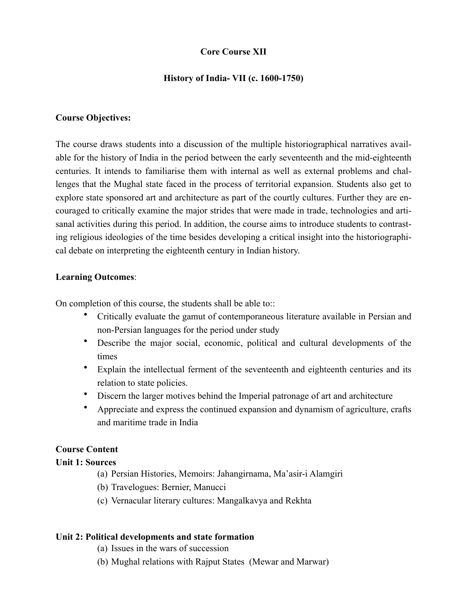# **Core Course XII**

### **History of India- VII (c. 1600-1750)**

### **Course Objectives:**

The course draws students into a discussion of the multiple historiographical narratives available for the history of India in the period between the early seventeenth and the mid-eighteenth centuries. It intends to familiarise them with internal as well as external problems and challenges that the Mughal state faced in the process of territorial expansion. Students also get to explore state sponsored art and architecture as part of the courtly cultures. Further they are encouraged to critically examine the major strides that were made in trade, technologies and artisanal activities during this period. In addition, the course aims to introduce students to contrasting religious ideologies of the time besides developing a critical insight into the historiographical debate on interpreting the eighteenth century in Indian history.

#### **Learning Outcomes**:

On completion of this course, the students shall be able to::

- Critically evaluate the gamut of contemporaneous literature available in Persian and non-Persian languages for the period under study
- Describe the major social, economic, political and cultural developments of the times
- Explain the intellectual ferment of the seventeenth and eighteenth centuries and its relation to state policies.
- Discern the larger motives behind the Imperial patronage of art and architecture
- Appreciate and express the continued expansion and dynamism of agriculture, crafts and maritime trade in India

#### **Course Content**

#### **Unit 1: Sources**

- (a) Persian Histories, Memoirs: Jahangirnama, Ma'asir-i Alamgiri
- (b) Travelogues: Bernier, Manucci
- (c) Vernacular literary cultures: Mangalkavya and Rekhta

#### **Unit 2: Political developments and state formation**

- (a) Issues in the wars of succession
- (b) Mughal relations with Rajput States (Mewar and Marwar)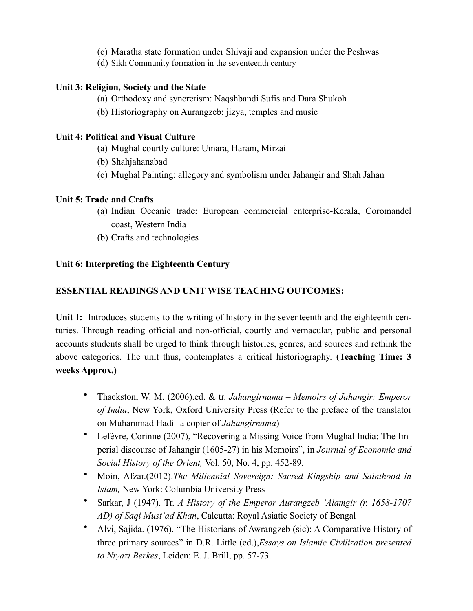- (c) Maratha state formation under Shivaji and expansion under the Peshwas
- (d) Sikh Community formation in the seventeenth century

# **Unit 3: Religion, Society and the State**

- (a) Orthodoxy and syncretism: Naqshbandi Sufis and Dara Shukoh
- (b) Historiography on Aurangzeb: jizya, temples and music

# **Unit 4: Political and Visual Culture**

- (a) Mughal courtly culture: Umara, Haram, Mirzai
- (b) Shahjahanabad
- (c) Mughal Painting: allegory and symbolism under Jahangir and Shah Jahan

# **Unit 5: Trade and Crafts**

- (a) Indian Oceanic trade: European commercial enterprise-Kerala, Coromandel coast, Western India
- (b) Crafts and technologies

# **Unit 6: Interpreting the Eighteenth Century**

# **ESSENTIAL READINGS AND UNIT WISE TEACHING OUTCOMES:**

Unit I: Introduces students to the writing of history in the seventeenth and the eighteenth centuries. Through reading official and non-official, courtly and vernacular, public and personal accounts students shall be urged to think through histories, genres, and sources and rethink the above categories. The unit thus, contemplates a critical historiography. **(Teaching Time: 3 weeks Approx.)**

- Thackston, W. M. (2006).ed. & tr. *Jahangirnama Memoirs of Jahangir: Emperor of India*, New York, Oxford University Press (Refer to the preface of the translator on Muhammad Hadi--a copier of *Jahangirnama*)
- Lefèvre, Corinne (2007), "Recovering a Missing Voice from Mughal India: The Imperial discourse of Jahangir (1605-27) in his Memoirs", in *Journal of Economic and Social History of the Orient,* Vol. 50, No. 4, pp. 452-89.
- Moin, Afzar.(2012).*The Millennial Sovereign: Sacred Kingship and Sainthood in Islam,* New York: Columbia University Press
- Sarkar, J (1947). Tr. *A History of the Emperor Aurangzeb 'Alamgir (r. 1658-1707 AD) of Saqi Must'ad Khan*, Calcutta: Royal Asiatic Society of Bengal
- Alvi, Sajida. (1976). "The Historians of Awrangzeb (sic): A Comparative History of three primary sources" in D.R. Little (ed.),*Essays on Islamic Civilization presented to Niyazi Berkes*, Leiden: E. J. Brill, pp. 57-73.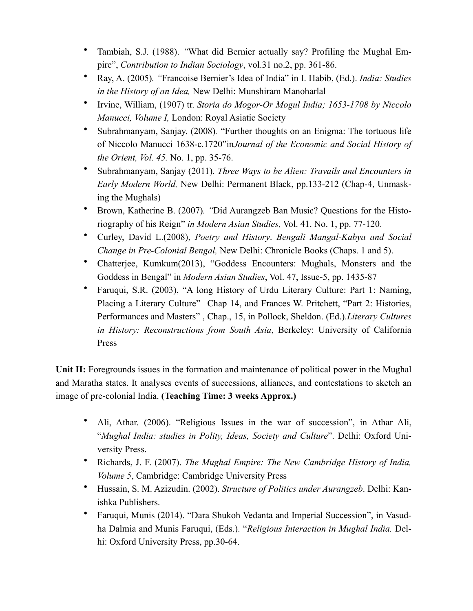- Tambiah, S.J. (1988). *"*What did Bernier actually say? Profiling the Mughal Empire", *Contribution to Indian Sociology*, vol.31 no.2, pp. 361-86.
- Ray, A. (2005)*. "*Francoise Bernier's Idea of India" in I. Habib, (Ed.). *India: Studies in the History of an Idea,* New Delhi: Munshiram Manoharlal
- Irvine, William, (1907) tr. *Storia do Mogor-Or Mogul India; 1653-1708 by Niccolo Manucci, Volume I,* London: Royal Asiatic Society
- Subrahmanyam, Sanjay. (2008)*.* "Further thoughts on an Enigma: The tortuous life of Niccolo Manucci 1638-c.1720"in*Journal of the Economic and Social History of the Orient, Vol. 45.* No. 1, pp. 35-76.
- Subrahmanyam, Sanjay (2011)*. Three Ways to be Alien: Travails and Encounters in Early Modern World,* New Delhi: Permanent Black, pp.133-212 (Chap-4, Unmasking the Mughals)
- Brown, Katherine B. (2007)*. "*Did Aurangzeb Ban Music? Questions for the Historiography of his Reign" *in Modern Asian Studies,* Vol. 41. No. 1, pp. 77-120.
- Curley, David L.(2008), *Poetry and History*. *Bengali Mangal-Kabya and Social Change in Pre-Colonial Bengal,* New Delhi: Chronicle Books (Chaps. 1 and 5).
- Chatterjee, Kumkum(2013), "Goddess Encounters: Mughals, Monsters and the Goddess in Bengal" in *Modern Asian Studies*, Vol. 47, Issue-5, pp. 1435-87
- Faruqui, S.R. (2003), "A long History of Urdu Literary Culture: Part 1: Naming, Placing a Literary Culture" Chap 14, and Frances W. Pritchett, "Part 2: Histories, Performances and Masters" , Chap., 15, in Pollock, Sheldon. (Ed.).*Literary Cultures in History: Reconstructions from South Asia*, Berkeley: University of California Press

Unit II: Foregrounds issues in the formation and maintenance of political power in the Mughal and Maratha states. It analyses events of successions, alliances, and contestations to sketch an image of pre-colonial India. **(Teaching Time: 3 weeks Approx.)**

- Ali, Athar. (2006). "Religious Issues in the war of succession", in Athar Ali, "*Mughal India: studies in Polity, Ideas, Society and Culture*". Delhi: Oxford University Press.
- Richards, J. F. (2007). *The Mughal Empire: The New Cambridge History of India, Volume 5*, Cambridge: Cambridge University Press
- Hussain, S. M. Azizudin. (2002). *Structure of Politics under Aurangzeb*. Delhi: Kanishka Publishers.
- Faruqui, Munis (2014). "Dara Shukoh Vedanta and Imperial Succession", in Vasudha Dalmia and Munis Faruqui, (Eds.). "*Religious Interaction in Mughal India.* Delhi: Oxford University Press, pp.30-64.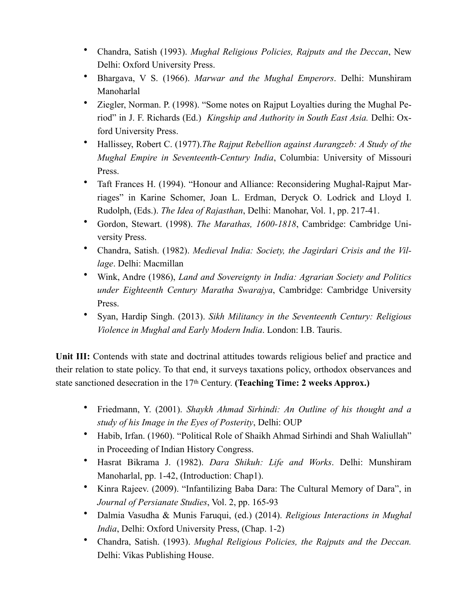- Chandra, Satish (1993). *Mughal Religious Policies, Rajputs and the Deccan*, New Delhi: Oxford University Press.
- Bhargava, V S. (1966). *Marwar and the Mughal Emperors*. Delhi: Munshiram Manoharlal
- Ziegler, Norman. P. (1998). "Some notes on Rajput Loyalties during the Mughal Period" in J. F. Richards (Ed.) *Kingship and Authority in South East Asia.* Delhi: Oxford University Press.
- Hallissey, Robert C. (1977).*The Rajput Rebellion against Aurangzeb: A Study of the Mughal Empire in Seventeenth-Century India*, Columbia: University of Missouri Press.
- Taft Frances H. (1994). "Honour and Alliance: Reconsidering Mughal-Rajput Marriages" in Karine Schomer, Joan L. Erdman, Deryck O. Lodrick and Lloyd I. Rudolph, (Eds.). *The Idea of Rajasthan*, Delhi: Manohar, Vol. 1, pp. 217-41.
- Gordon, Stewart. (1998). *The Marathas, 1600-1818*, Cambridge: Cambridge University Press.
- Chandra, Satish. (1982). *Medieval India: Society, the Jagirdari Crisis and the Village*. Delhi: Macmillan
- Wink, Andre (1986), *Land and Sovereignty in India: Agrarian Society and Politics under Eighteenth Century Maratha Swarajya*, Cambridge: Cambridge University Press.
- Syan, Hardip Singh. (2013). *Sikh Militancy in the Seventeenth Century: Religious Violence in Mughal and Early Modern India*. London: I.B. Tauris.

Unit III: Contends with state and doctrinal attitudes towards religious belief and practice and their relation to state policy. To that end, it surveys taxations policy, orthodox observances and state sanctioned desecration in the 17th Century. **(Teaching Time: 2 weeks Approx.)**

- Friedmann, Y. (2001). *Shaykh Ahmad Sirhindi: An Outline of his thought and a study of his Image in the Eyes of Posterity*, Delhi: OUP
- Habib, Irfan. (1960). "Political Role of Shaikh Ahmad Sirhindi and Shah Waliullah" in Proceeding of Indian History Congress.
- Hasrat Bikrama J. (1982). *Dara Shikuh: Life and Works*. Delhi: Munshiram Manoharlal, pp. 1-42, (Introduction: Chap1).
- Kinra Rajeev. (2009). "Infantilizing Baba Dara: The Cultural Memory of Dara", in *Journal of Persianate Studies*, Vol. 2, pp. 165-93
- Dalmia Vasudha & Munis Faruqui, (ed.) (2014). *Religious Interactions in Mughal India*, Delhi: Oxford University Press, (Chap. 1-2)
- Chandra, Satish. (1993). *Mughal Religious Policies, the Rajputs and the Deccan.*  Delhi: Vikas Publishing House.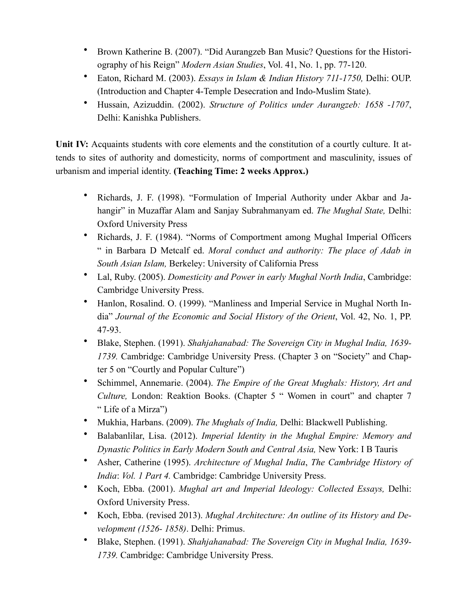- Brown Katherine B. (2007). "Did Aurangzeb Ban Music? Questions for the Historiography of his Reign" *Modern Asian Studies*, Vol. 41, No. 1, pp. 77-120.
- Eaton, Richard M. (2003). *Essays in Islam & Indian History 711-1750,* Delhi: OUP. (Introduction and Chapter 4-Temple Desecration and Indo-Muslim State).
- Hussain, Azizuddin. (2002). *Structure of Politics under Aurangzeb: 1658 -1707*, Delhi: Kanishka Publishers.

**Unit IV:** Acquaints students with core elements and the constitution of a courtly culture. It attends to sites of authority and domesticity, norms of comportment and masculinity, issues of urbanism and imperial identity. **(Teaching Time: 2 weeks Approx.)**

- Richards, J. F. (1998). "Formulation of Imperial Authority under Akbar and Jahangir" in Muzaffar Alam and Sanjay Subrahmanyam ed. *The Mughal State,* Delhi: Oxford University Press
- Richards, J. F. (1984). "Norms of Comportment among Mughal Imperial Officers " in Barbara D Metcalf ed. *Moral conduct and authority: The place of Adab in South Asian Islam,* Berkeley: University of California Press
- Lal, Ruby. (2005). *Domesticity and Power in early Mughal North India*, Cambridge: Cambridge University Press.
- Hanlon, Rosalind. O. (1999). "Manliness and Imperial Service in Mughal North India" *Journal of the Economic and Social History of the Orient*, Vol. 42, No. 1, PP. 47-93.
- Blake, Stephen. (1991). *Shahjahanabad: The Sovereign City in Mughal India, 1639- 1739.* Cambridge: Cambridge University Press. (Chapter 3 on "Society" and Chapter 5 on "Courtly and Popular Culture")
- Schimmel, Annemarie. (2004). *The Empire of the Great Mughals: History, Art and Culture,* London: Reaktion Books. (Chapter 5 " Women in court" and chapter 7 " Life of a Mirza")
- Mukhia, Harbans. (2009). *The Mughals of India,* Delhi: Blackwell Publishing.
- Balabanlilar, Lisa. (2012). *Imperial Identity in the Mughal Empire: Memory and Dynastic Politics in Early Modern South and Central Asia,* New York: I B Tauris
- Asher, Catherine (1995). *Architecture of Mughal India*, *The Cambridge History of India*: *Vol. 1 Part 4.* Cambridge: Cambridge University Press.
- Koch, Ebba. (2001). *Mughal art and Imperial Ideology: Collected Essays,* Delhi: Oxford University Press.
- Koch, Ebba. (revised 2013). *Mughal Architecture: An outline of its History and Development (1526- 1858)*. Delhi: Primus.
- Blake, Stephen. (1991). *Shahjahanabad: The Sovereign City in Mughal India, 1639- 1739.* Cambridge: Cambridge University Press.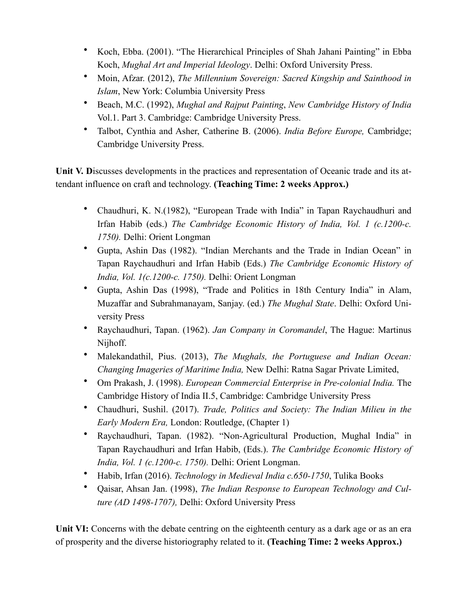- Koch, Ebba. (2001). "The Hierarchical Principles of Shah Jahani Painting" in Ebba Koch, *Mughal Art and Imperial Ideology*. Delhi: Oxford University Press.
- Moin, Afzar. (2012), *The Millennium Sovereign: Sacred Kingship and Sainthood in Islam*, New York: Columbia University Press
- Beach, M.C. (1992), *Mughal and Rajput Painting*, *New Cambridge History of India* Vol.1. Part 3. Cambridge: Cambridge University Press.
- Talbot, Cynthia and Asher, Catherine B. (2006). *India Before Europe,* Cambridge; Cambridge University Press.

**Unit V. D**iscusses developments in the practices and representation of Oceanic trade and its attendant influence on craft and technology. **(Teaching Time: 2 weeks Approx.)**

- Chaudhuri, K. N.(1982), "European Trade with India" in Tapan Raychaudhuri and Irfan Habib (eds.) *The Cambridge Economic History of India, Vol. 1 (c.1200-c. 1750).* Delhi: Orient Longman
- Gupta, Ashin Das (1982). "Indian Merchants and the Trade in Indian Ocean" in Tapan Raychaudhuri and Irfan Habib (Eds.) *The Cambridge Economic History of India, Vol. 1(c.1200-c. 1750).* Delhi: Orient Longman
- Gupta, Ashin Das (1998), "Trade and Politics in 18th Century India" in Alam, Muzaffar and Subrahmanayam, Sanjay. (ed.) *The Mughal State*. Delhi: Oxford University Press
- Raychaudhuri, Tapan. (1962). *Jan Company in Coromandel*, The Hague: Martinus Nijhoff.
- Malekandathil, Pius. (2013), *The Mughals, the Portuguese and Indian Ocean: Changing Imageries of Maritime India,* New Delhi: Ratna Sagar Private Limited,
- Om Prakash, J. (1998). *European Commercial Enterprise in Pre-colonial India.* The Cambridge History of India II.5, Cambridge: Cambridge University Press
- Chaudhuri, Sushil. (2017). *Trade, Politics and Society: The Indian Milieu in the Early Modern Era,* London: Routledge, (Chapter 1)
- Raychaudhuri, Tapan. (1982). "Non-Agricultural Production, Mughal India" in Tapan Raychaudhuri and Irfan Habib, (Eds.). *The Cambridge Economic History of India, Vol. 1 (c.1200-c. 1750).* Delhi: Orient Longman.
- Habib, Irfan (2016). *Technology in Medieval India c.650-1750*, Tulika Books
- Qaisar, Ahsan Jan. (1998), *The Indian Response to European Technology and Culture (AD 1498-1707),* Delhi: Oxford University Press

**Unit VI:** Concerns with the debate centring on the eighteenth century as a dark age or as an era of prosperity and the diverse historiography related to it. **(Teaching Time: 2 weeks Approx.)**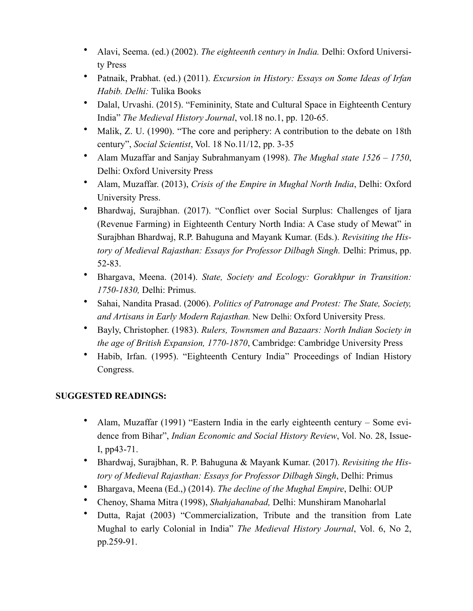- Alavi, Seema. (ed.) (2002). *The eighteenth century in India.* Delhi: Oxford University Press
- Patnaik, Prabhat. (ed.) (2011). *Excursion in History: Essays on Some Ideas of Irfan Habib. Delhi:* Tulika Books
- Dalal, Urvashi. (2015). "Femininity, State and Cultural Space in Eighteenth Century India" *The Medieval History Journal*, vol.18 no.1, pp. 120-65.
- Malik, Z. U. (1990). "The core and periphery: A contribution to the debate on 18th century", *Social Scientist*, Vol. 18 No.11/12, pp. 3-35
- Alam Muzaffar and Sanjay Subrahmanyam (1998). *The Mughal state 1526 1750*, Delhi: Oxford University Press
- Alam, Muzaffar. (2013), *Crisis of the Empire in Mughal North India*, Delhi: Oxford University Press.
- Bhardwaj, Surajbhan. (2017). "Conflict over Social Surplus: Challenges of Ijara (Revenue Farming) in Eighteenth Century North India: A Case study of Mewat" in Surajbhan Bhardwaj, R.P. Bahuguna and Mayank Kumar. (Eds.). *Revisiting the History of Medieval Rajasthan: Essays for Professor Dilbagh Singh.* Delhi: Primus, pp. 52-83.
- Bhargava, Meena. (2014). *State, Society and Ecology: Gorakhpur in Transition: 1750-1830,* Delhi: Primus.
- Sahai, Nandita Prasad. (2006). *Politics of Patronage and Protest: The State, Society, and Artisans in Early Modern Rajasthan.* New Delhi: Oxford University Press.
- Bayly, Christopher. (1983). *Rulers, Townsmen and Bazaars: North Indian Society in the age of British Expansion, 1770-1870*, Cambridge: Cambridge University Press
- Habib, Irfan. (1995). "Eighteenth Century India" Proceedings of Indian History Congress.

# **SUGGESTED READINGS:**

- Alam, Muzaffar (1991) "Eastern India in the early eighteenth century Some evidence from Bihar", *Indian Economic and Social History Review*, Vol. No. 28, Issue-I, pp43-71.
- Bhardwaj, Surajbhan, R. P. Bahuguna & Mayank Kumar. (2017). *Revisiting the History of Medieval Rajasthan: Essays for Professor Dilbagh Singh*, Delhi: Primus
- Bhargava, Meena (Ed.,) (2014). *The decline of the Mughal Empire*, Delhi: OUP
- Chenoy, Shama Mitra (1998), *Shahjahanabad,* Delhi: Munshiram Manoharlal
- Dutta, Rajat (2003) "Commercialization, Tribute and the transition from Late Mughal to early Colonial in India" *The Medieval History Journal*, Vol. 6, No 2, pp.259-91.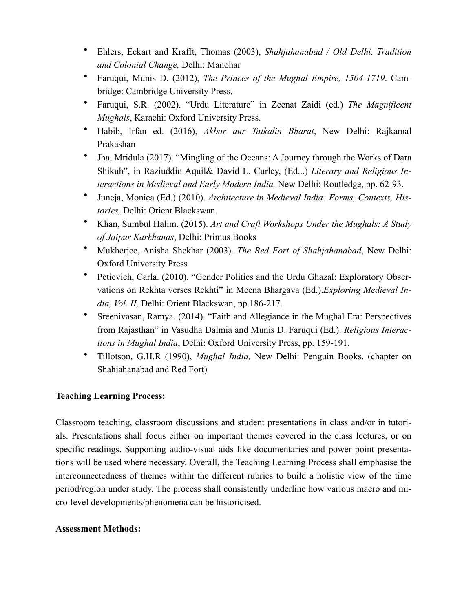- Ehlers, Eckart and Krafft, Thomas (2003), *Shahjahanabad / Old Delhi. Tradition and Colonial Change,* Delhi: Manohar
- Faruqui, Munis D. (2012), *The Princes of the Mughal Empire, 1504-1719*. Cambridge: Cambridge University Press.
- Faruqui, S.R. (2002). "Urdu Literature" in Zeenat Zaidi (ed.) *The Magnificent Mughals*, Karachi: Oxford University Press.
- Habib, Irfan ed. (2016), *Akbar aur Tatkalin Bharat*, New Delhi: Rajkamal Prakashan
- Jha, Mridula (2017). "Mingling of the Oceans: A Journey through the Works of Dara Shikuh", in Raziuddin Aquil& David L. Curley, (Ed...) *Literary and Religious Interactions in Medieval and Early Modern India,* New Delhi: Routledge, pp. 62-93.
- Juneja, Monica (Ed.) (2010). *Architecture in Medieval India: Forms, Contexts, Histories,* Delhi: Orient Blackswan.
- Khan, Sumbul Halim. (2015). *Art and Craft Workshops Under the Mughals: A Study of Jaipur Karkhanas*, Delhi: Primus Books
- Mukherjee, Anisha Shekhar (2003). *The Red Fort of Shahjahanabad*, New Delhi: Oxford University Press
- Petievich, Carla. (2010). "Gender Politics and the Urdu Ghazal: Exploratory Observations on Rekhta verses Rekhti" in Meena Bhargava (Ed.).*Exploring Medieval India, Vol. II,* Delhi: Orient Blackswan, pp.186-217.
- Sreenivasan, Ramya. (2014). "Faith and Allegiance in the Mughal Era: Perspectives from Rajasthan" in Vasudha Dalmia and Munis D. Faruqui (Ed.). *Religious Interactions in Mughal India*, Delhi: Oxford University Press, pp. 159-191.
- Tillotson, G.H.R (1990), *Mughal India,* New Delhi: Penguin Books. (chapter on Shahjahanabad and Red Fort)

# **Teaching Learning Process:**

Classroom teaching, classroom discussions and student presentations in class and/or in tutorials. Presentations shall focus either on important themes covered in the class lectures, or on specific readings. Supporting audio-visual aids like documentaries and power point presentations will be used where necessary. Overall, the Teaching Learning Process shall emphasise the interconnectedness of themes within the different rubrics to build a holistic view of the time period/region under study. The process shall consistently underline how various macro and micro-level developments/phenomena can be historicised.

## **Assessment Methods:**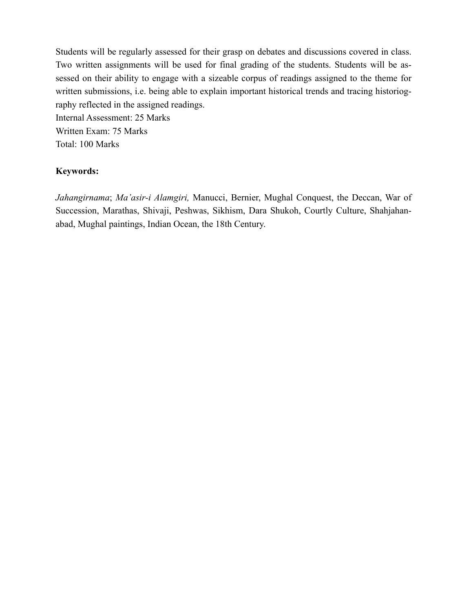Students will be regularly assessed for their grasp on debates and discussions covered in class. Two written assignments will be used for final grading of the students. Students will be assessed on their ability to engage with a sizeable corpus of readings assigned to the theme for written submissions, i.e. being able to explain important historical trends and tracing historiography reflected in the assigned readings.

Internal Assessment: 25 Marks Written Exam: 75 Marks Total: 100 Marks

## **Keywords:**

*Jahangirnama*; *Ma'asir-i Alamgiri,* Manucci, Bernier, Mughal Conquest, the Deccan, War of Succession, Marathas, Shivaji, Peshwas, Sikhism, Dara Shukoh, Courtly Culture, Shahjahanabad, Mughal paintings, Indian Ocean, the 18th Century.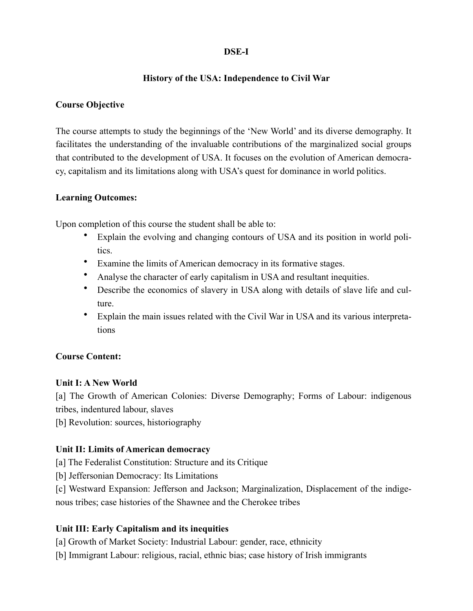# **DSE-I**

# **History of the USA: Independence to Civil War**

# **Course Objective**

The course attempts to study the beginnings of the 'New World' and its diverse demography. It facilitates the understanding of the invaluable contributions of the marginalized social groups that contributed to the development of USA. It focuses on the evolution of American democracy, capitalism and its limitations along with USA's quest for dominance in world politics.

## **Learning Outcomes:**

Upon completion of this course the student shall be able to:

- Explain the evolving and changing contours of USA and its position in world politics.
- Examine the limits of American democracy in its formative stages.
- Analyse the character of early capitalism in USA and resultant inequities.
- Describe the economics of slavery in USA along with details of slave life and culture.
- Explain the main issues related with the Civil War in USA and its various interpretations

# **Course Content:**

## **Unit I: A New World**

[a] The Growth of American Colonies: Diverse Demography; Forms of Labour: indigenous tribes, indentured labour, slaves

[b] Revolution: sources, historiography

# **Unit II: Limits of American democracy**

[a] The Federalist Constitution: Structure and its Critique

[b] Jeffersonian Democracy: Its Limitations

[c] Westward Expansion: Jefferson and Jackson; Marginalization, Displacement of the indigenous tribes; case histories of the Shawnee and the Cherokee tribes

# **Unit III: Early Capitalism and its inequities**

[a] Growth of Market Society: Industrial Labour: gender, race, ethnicity

[b] Immigrant Labour: religious, racial, ethnic bias; case history of Irish immigrants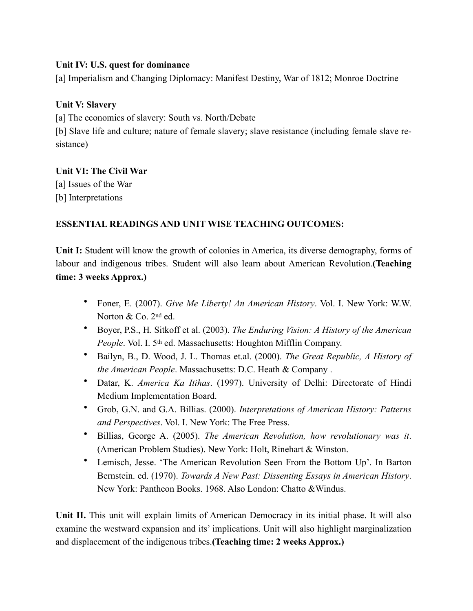# **Unit IV: U.S. quest for dominance**

[a] Imperialism and Changing Diplomacy: Manifest Destiny, War of 1812; Monroe Doctrine

# **Unit V: Slavery**

[a] The economics of slavery: South vs. North/Debate

[b] Slave life and culture; nature of female slavery; slave resistance (including female slave resistance)

## **Unit VI: The Civil War**

[a] Issues of the War [b] Interpretations

# **ESSENTIAL READINGS AND UNIT WISE TEACHING OUTCOMES:**

Unit I: Student will know the growth of colonies in America, its diverse demography, forms of labour and indigenous tribes. Student will also learn about American Revolution.**(Teaching time: 3 weeks Approx.)**

- Foner, E. (2007). *Give Me Liberty! An American History*. Vol. I. New York: W.W. Norton & Co. 2nd ed.
- Boyer, P.S., H. Sitkoff et al. (2003). *The Enduring Vision: A History of the American People*. Vol. I. 5<sup>th</sup> ed. Massachusetts: Houghton Mifflin Company.
- Bailyn, B., D. Wood, J. L. Thomas et.al. (2000). *The Great Republic, A History of the American People*. Massachusetts: D.C. Heath & Company .
- Datar, K. *America Ka Itihas*. (1997). University of Delhi: Directorate of Hindi Medium Implementation Board.
- Grob, G.N. and G.A. Billias. (2000). *Interpretations of American History: Patterns and Perspectives*. Vol. I. New York: The Free Press.
- Billias, George A. (2005). *The American Revolution, how revolutionary was it*. (American Problem Studies). New York: Holt, Rinehart & Winston.
- Lemisch, Jesse. 'The American Revolution Seen From the Bottom Up'. In Barton Bernstein. ed. (1970). *Towards A New Past: Dissenting Essays in American History*. New York: Pantheon Books. 1968. Also London: Chatto &Windus.

**Unit II.** This unit will explain limits of American Democracy in its initial phase. It will also examine the westward expansion and its' implications. Unit will also highlight marginalization and displacement of the indigenous tribes.**(Teaching time: 2 weeks Approx.)**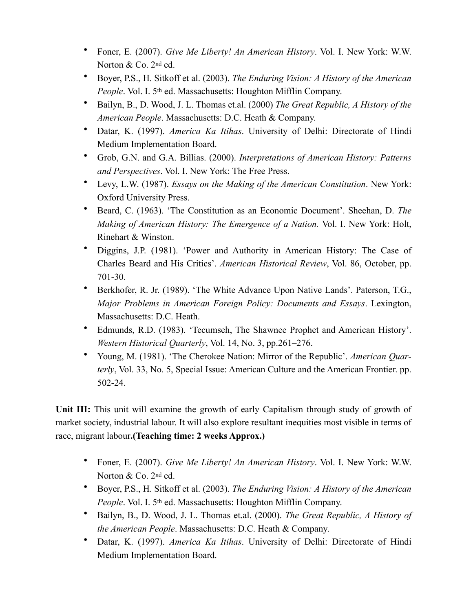- Foner, E. (2007). *Give Me Liberty! An American History*. Vol. I. New York: W.W. Norton & Co. 2nd ed.
- Boyer, P.S., H. Sitkoff et al. (2003). *The Enduring Vision: A History of the American People*. Vol. I. 5<sup>th</sup> ed. Massachusetts: Houghton Mifflin Company.
- Bailyn, B., D. Wood, J. L. Thomas et.al. (2000) *The Great Republic, A History of the American People*. Massachusetts: D.C. Heath & Company.
- Datar, K. (1997). *America Ka Itihas*. University of Delhi: Directorate of Hindi Medium Implementation Board.
- Grob, G.N. and G.A. Billias. (2000). *Interpretations of American History: Patterns and Perspectives*. Vol. I. New York: The Free Press.
- Levy, L.W. (1987). *Essays on the Making of the American Constitution*. New York: Oxford University Press.
- Beard, C. (1963). 'The Constitution as an Economic Document'. Sheehan, D. *The Making of American History: The Emergence of a Nation.* Vol. I. New York: Holt, Rinehart & Winston.
- Diggins, J.P. (1981). 'Power and Authority in American History: The Case of Charles Beard and His Critics'. *American Historical Review*, Vol. 86, October, pp. 701-30.
- Berkhofer, R. Jr. (1989). 'The White Advance Upon Native Lands'. Paterson, T.G., *Major Problems in American Foreign Policy: Documents and Essays*. Lexington, Massachusetts: D.C. Heath.
- Edmunds, R.D. (1983). 'Tecumseh, The Shawnee Prophet and American History'. *Western Historical Quarterly*, Vol. 14, No. 3, pp.261–276.
- Young, M. (1981). 'The Cherokee Nation: Mirror of the Republic'. *American Quarterly*, Vol. 33, No. 5, Special Issue: American Culture and the American Frontier. pp. 502-24.

Unit III: This unit will examine the growth of early Capitalism through study of growth of market society, industrial labour. It will also explore resultant inequities most visible in terms of race, migrant labour**.(Teaching time: 2 weeks Approx.)**

- Foner, E. (2007). *Give Me Liberty! An American History*. Vol. I. New York: W.W. Norton & Co. 2nd ed.
- Boyer, P.S., H. Sitkoff et al. (2003). *The Enduring Vision: A History of the American People*. Vol. I. 5th ed. Massachusetts: Houghton Mifflin Company.
- Bailyn, B., D. Wood, J. L. Thomas et.al. (2000). *The Great Republic, A History of the American People*. Massachusetts: D.C. Heath & Company.
- Datar, K. (1997). *America Ka Itihas*. University of Delhi: Directorate of Hindi Medium Implementation Board.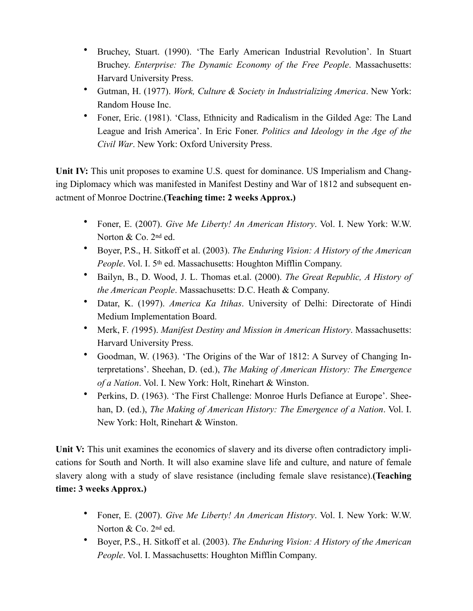- Bruchey, Stuart. (1990). 'The Early American Industrial Revolution'. In Stuart Bruchey. *Enterprise: The Dynamic Economy of the Free People*. Massachusetts: Harvard University Press.
- Gutman, H. (1977). *Work, Culture & Society in Industrializing America*. New York: Random House Inc.
- Foner, Eric. (1981). 'Class, Ethnicity and Radicalism in the Gilded Age: The Land League and Irish America'. In Eric Foner. *Politics and Ideology in the Age of the Civil War*. New York: Oxford University Press.

**Unit IV:** This unit proposes to examine U.S. quest for dominance. US Imperialism and Changing Diplomacy which was manifested in Manifest Destiny and War of 1812 and subsequent enactment of Monroe Doctrine.**(Teaching time: 2 weeks Approx.)**

- Foner, E. (2007). *Give Me Liberty! An American History*. Vol. I. New York: W.W. Norton & Co. 2nd ed.
- Boyer, P.S., H. Sitkoff et al. (2003). *The Enduring Vision: A History of the American People*. Vol. I. 5<sup>th</sup> ed. Massachusetts: Houghton Mifflin Company.
- Bailyn, B., D. Wood, J. L. Thomas et.al. (2000). *The Great Republic, A History of the American People*. Massachusetts: D.C. Heath & Company.
- Datar, K. (1997). *America Ka Itihas*. University of Delhi: Directorate of Hindi Medium Implementation Board.
- Merk, F. *(*1995). *Manifest Destiny and Mission in American History*. Massachusetts: Harvard University Press.
- Goodman, W. (1963). 'The Origins of the War of 1812: A Survey of Changing Interpretations'. Sheehan, D. (ed.), *The Making of American History: The Emergence of a Nation*. Vol. I. New York: Holt, Rinehart & Winston.
- Perkins, D. (1963). 'The First Challenge: Monroe Hurls Defiance at Europe'. Sheehan, D. (ed.), *The Making of American History: The Emergence of a Nation*. Vol. I. New York: Holt, Rinehart & Winston.

Unit V: This unit examines the economics of slavery and its diverse often contradictory implications for South and North. It will also examine slave life and culture, and nature of female slavery along with a study of slave resistance (including female slave resistance).**(Teaching time: 3 weeks Approx.)**

- Foner, E. (2007). *Give Me Liberty! An American History*. Vol. I. New York: W.W. Norton & Co. 2nd ed.
- Boyer, P.S., H. Sitkoff et al. (2003). *The Enduring Vision: A History of the American People*. Vol. I. Massachusetts: Houghton Mifflin Company.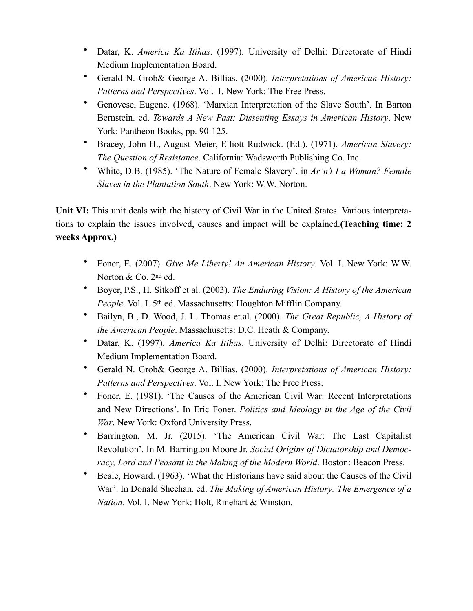- Datar, K. *America Ka Itihas*. (1997). University of Delhi: Directorate of Hindi Medium Implementation Board.
- Gerald N. Grob& George A. Billias. (2000). *Interpretations of American History: Patterns and Perspectives*. Vol. I. New York: The Free Press.
- Genovese, Eugene. (1968). 'Marxian Interpretation of the Slave South'. In Barton Bernstein. ed. *Towards A New Past: Dissenting Essays in American History*. New York: Pantheon Books, pp. 90-125.
- Bracey, John H., August Meier, Elliott Rudwick. (Ed.). (1971). *American Slavery: The Question of Resistance*. California: Wadsworth Publishing Co. Inc.
- White, D.B. (1985). 'The Nature of Female Slavery'. in *Ar'n't I a Woman? Female Slaves in the Plantation South*. New York: W.W. Norton.

**Unit VI:** This unit deals with the history of Civil War in the United States. Various interpretations to explain the issues involved, causes and impact will be explained.**(Teaching time: 2 weeks Approx.)**

- Foner, E. (2007). *Give Me Liberty! An American History*. Vol. I. New York: W.W. Norton & Co. 2nd ed.
- Boyer, P.S., H. Sitkoff et al. (2003). *The Enduring Vision: A History of the American People*. Vol. I. 5<sup>th</sup> ed. Massachusetts: Houghton Mifflin Company.
- Bailyn, B., D. Wood, J. L. Thomas et.al. (2000). *The Great Republic, A History of the American People*. Massachusetts: D.C. Heath & Company.
- Datar, K. (1997). *America Ka Itihas*. University of Delhi: Directorate of Hindi Medium Implementation Board.
- Gerald N. Grob& George A. Billias. (2000). *Interpretations of American History: Patterns and Perspectives*. Vol. I. New York: The Free Press.
- Foner, E. (1981). 'The Causes of the American Civil War: Recent Interpretations and New Directions'. In Eric Foner. *Politics and Ideology in the Age of the Civil War*. New York: Oxford University Press.
- Barrington, M. Jr. (2015). 'The American Civil War: The Last Capitalist Revolution'. In M. Barrington Moore Jr. *Social Origins of Dictatorship and Democracy, Lord and Peasant in the Making of the Modern World*. Boston: Beacon Press.
- Beale, Howard. (1963). 'What the Historians have said about the Causes of the Civil War'. In Donald Sheehan. ed. *The Making of American History: The Emergence of a Nation*. Vol. I. New York: Holt, Rinehart & Winston.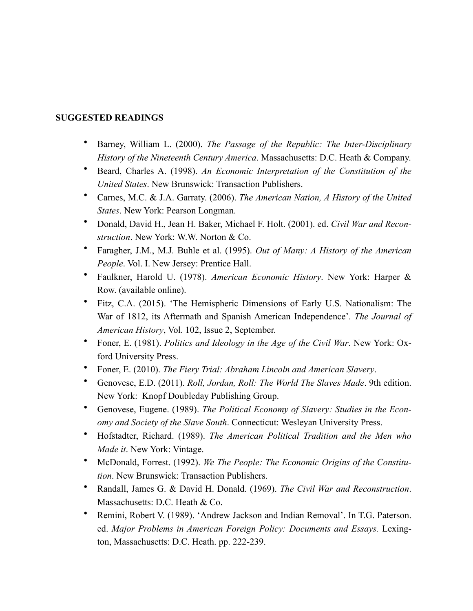## **SUGGESTED READINGS**

- Barney, William L. (2000). *The Passage of the Republic: The Inter-Disciplinary History of the Nineteenth Century America*. Massachusetts: D.C. Heath & Company.
- Beard, Charles A. (1998). *An Economic Interpretation of the Constitution of the United States*. New Brunswick: Transaction Publishers.
- Carnes, M.C. & J.A. Garraty. (2006). *The American Nation, A History of the United States*. New York: Pearson Longman.
- Donald, David H., Jean H. Baker, Michael F. Holt. (2001). ed. *Civil War and Reconstruction*. New York: W.W. Norton & Co.
- Faragher, J.M., M.J. Buhle et al. (1995). *Out of Many: A History of the American People*. Vol. I. New Jersey: Prentice Hall.
- Faulkner, Harold U. (1978). *American Economic History*. New York: Harper & Row. (available online).
- Fitz, C.A. (2015). 'The Hemispheric Dimensions of Early U.S. Nationalism: The War of 1812, its Aftermath and Spanish American Independence'. *The Journal of American History*, Vol. 102, Issue 2, September.
- Foner, E. (1981). *Politics and Ideology in the Age of the Civil War*. New York: Oxford University Press.
- Foner, E. (2010). *The Fiery Trial: Abraham Lincoln and American Slavery*.
- Genovese, E.D. (2011). *Roll, Jordan, Roll: The World The Slaves Made*. 9th edition. New York: Knopf Doubleday Publishing Group.
- Genovese, Eugene. (1989). *The Political Economy of Slavery: Studies in the Economy and Society of the Slave South*. Connecticut: Wesleyan University Press.
- Hofstadter, Richard. (1989). *The American Political Tradition and the Men who Made it*. New York: Vintage.
- McDonald, Forrest. (1992). *We The People: The Economic Origins of the Constitution*. New Brunswick: Transaction Publishers.
- Randall, James G. & David H. Donald. (1969). *The Civil War and Reconstruction*. Massachusetts: D.C. Heath & Co.
- Remini, Robert V. (1989). 'Andrew Jackson and Indian Removal'. In T.G. Paterson. ed. *Major Problems in American Foreign Policy: Documents and Essays.* Lexington, Massachusetts: D.C. Heath. pp. 222-239.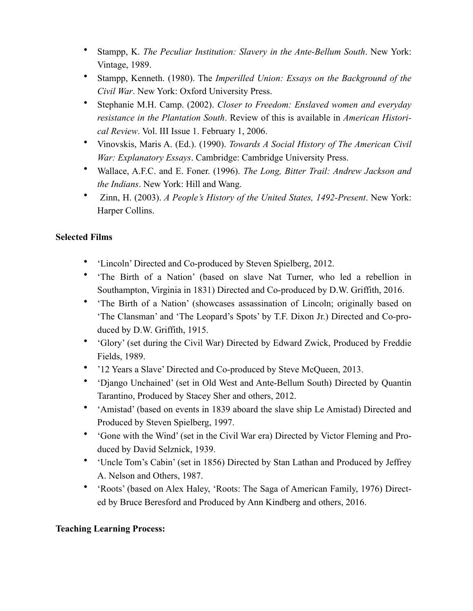- Stampp, K. *The Peculiar Institution: Slavery in the Ante-Bellum South*. New York: Vintage, 1989.
- Stampp, Kenneth. (1980). The *Imperilled Union: Essays on the Background of the Civil War*. New York: Oxford University Press.
- Stephanie M.H. Camp. (2002). *Closer to Freedom: Enslaved women and everyday resistance in the Plantation South*. Review of this is available in *American Historical Review*. Vol. III Issue 1. February 1, 2006.
- Vinovskis, Maris A. (Ed.). (1990). *Towards A Social History of The American Civil War: Explanatory Essays*. Cambridge: Cambridge University Press.
- Wallace, A.F.C. and E. Foner. (1996). *The Long, Bitter Trail: Andrew Jackson and the Indians*. New York: Hill and Wang.
- Zinn, H. (2003). *A People's History of the United States, 1492-Present*. New York: Harper Collins.

# **Selected Films**

- 'Lincoln' Directed and Co-produced by Steven Spielberg, 2012.
- 'The Birth of a Nation' (based on slave Nat Turner, who led a rebellion in Southampton, Virginia in 1831) Directed and Co-produced by D.W. Griffith, 2016.
- 'The Birth of a Nation' (showcases assassination of Lincoln; originally based on 'The Clansman' and 'The Leopard's Spots' by T.F. Dixon Jr.) Directed and Co-produced by D.W. Griffith, 1915.
- 'Glory' (set during the Civil War) Directed by Edward Zwick, Produced by Freddie Fields, 1989.
- '12 Years a Slave' Directed and Co-produced by Steve McQueen, 2013.
- 'Django Unchained' (set in Old West and Ante-Bellum South) Directed by Quantin Tarantino, Produced by Stacey Sher and others, 2012.
- 'Amistad' (based on events in 1839 aboard the slave ship Le Amistad) Directed and Produced by Steven Spielberg, 1997.
- 'Gone with the Wind' (set in the Civil War era) Directed by Victor Fleming and Produced by David Selznick, 1939.
- 'Uncle Tom's Cabin' (set in 1856) Directed by Stan Lathan and Produced by Jeffrey A. Nelson and Others, 1987.
- 'Roots' (based on Alex Haley, 'Roots: The Saga of American Family, 1976) Directed by Bruce Beresford and Produced by Ann Kindberg and others, 2016.

# **Teaching Learning Process:**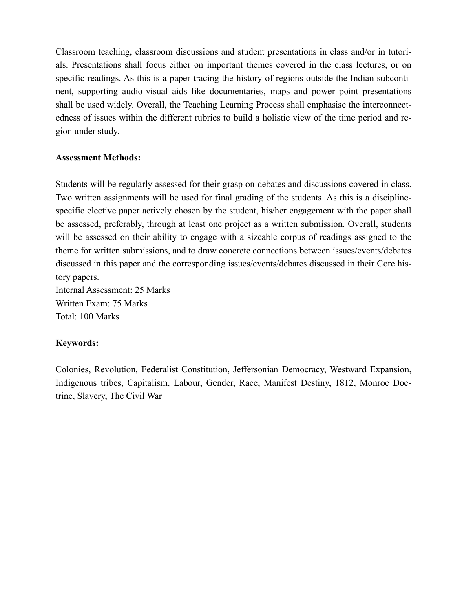Classroom teaching, classroom discussions and student presentations in class and/or in tutorials. Presentations shall focus either on important themes covered in the class lectures, or on specific readings. As this is a paper tracing the history of regions outside the Indian subcontinent, supporting audio-visual aids like documentaries, maps and power point presentations shall be used widely. Overall, the Teaching Learning Process shall emphasise the interconnectedness of issues within the different rubrics to build a holistic view of the time period and region under study.

### **Assessment Methods:**

Students will be regularly assessed for their grasp on debates and discussions covered in class. Two written assignments will be used for final grading of the students. As this is a disciplinespecific elective paper actively chosen by the student, his/her engagement with the paper shall be assessed, preferably, through at least one project as a written submission. Overall, students will be assessed on their ability to engage with a sizeable corpus of readings assigned to the theme for written submissions, and to draw concrete connections between issues/events/debates discussed in this paper and the corresponding issues/events/debates discussed in their Core history papers.

Internal Assessment: 25 Marks Written Exam: 75 Marks Total: 100 Marks

## **Keywords:**

Colonies, Revolution, Federalist Constitution, Jeffersonian Democracy, Westward Expansion, Indigenous tribes, Capitalism, Labour, Gender, Race, Manifest Destiny, 1812, Monroe Doctrine, Slavery, The Civil War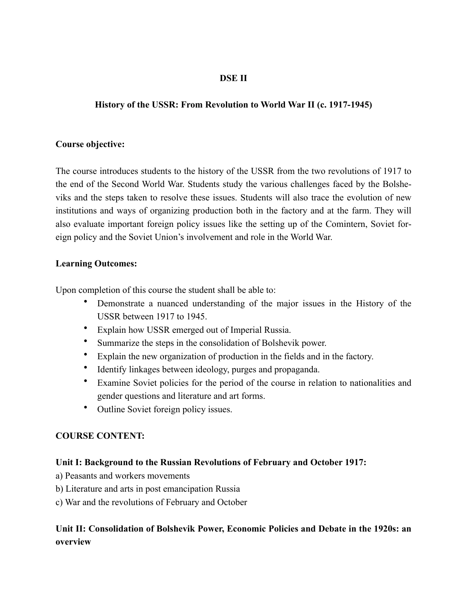# **DSE II**

# **History of the USSR: From Revolution to World War II (c. 1917-1945)**

### **Course objective:**

The course introduces students to the history of the USSR from the two revolutions of 1917 to the end of the Second World War. Students study the various challenges faced by the Bolsheviks and the steps taken to resolve these issues. Students will also trace the evolution of new institutions and ways of organizing production both in the factory and at the farm. They will also evaluate important foreign policy issues like the setting up of the Comintern, Soviet foreign policy and the Soviet Union's involvement and role in the World War.

### **Learning Outcomes:**

Upon completion of this course the student shall be able to:

- Demonstrate a nuanced understanding of the major issues in the History of the USSR between 1917 to 1945.
- Explain how USSR emerged out of Imperial Russia.
- Summarize the steps in the consolidation of Bolshevik power.
- Explain the new organization of production in the fields and in the factory.
- Identify linkages between ideology, purges and propaganda.
- Examine Soviet policies for the period of the course in relation to nationalities and gender questions and literature and art forms.
- Outline Soviet foreign policy issues.

## **COURSE CONTENT:**

## **Unit I: Background to the Russian Revolutions of February and October 1917:**

- a) Peasants and workers movements
- b) Literature and arts in post emancipation Russia
- c) War and the revolutions of February and October

# **Unit II: Consolidation of Bolshevik Power, Economic Policies and Debate in the 1920s: an overview**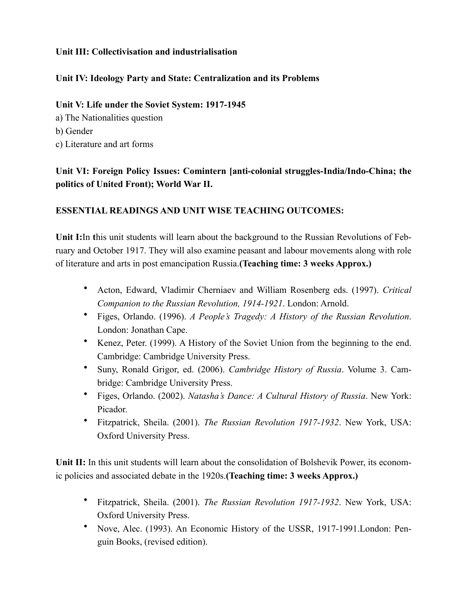# **Unit III: Collectivisation and industrialisation**

# **Unit IV: Ideology Party and State: Centralization and its Problems**

## **Unit V: Life under the Soviet System: 1917-1945**

a) The Nationalities question b) Gender c) Literature and art forms

# **Unit VI: Foreign Policy Issues: Comintern [anti-colonial struggles-India/Indo-China; the politics of United Front); World War II.**

# **ESSENTIAL READINGS AND UNIT WISE TEACHING OUTCOMES:**

**Unit I:**In **t**his unit students will learn about the background to the Russian Revolutions of February and October 1917. They will also examine peasant and labour movements along with role of literature and arts in post emancipation Russia.**(Teaching time: 3 weeks Approx.)**

- Acton, Edward, Vladimir Cherniaev and William Rosenberg eds. (1997). *Critical Companion to the Russian Revolution, 1914-1921*. London: Arnold.
- Figes, Orlando. (1996). *A People's Tragedy: A History of the Russian Revolution*. London: Jonathan Cape.
- Kenez, Peter. (1999). A History of the Soviet Union from the beginning to the end. Cambridge: Cambridge University Press.
- Suny, Ronald Grigor, ed. (2006). *Cambridge History of Russia*. Volume 3. Cambridge: Cambridge University Press.
- Figes, Orlando. (2002). *Natasha's Dance: A Cultural History of Russia*. New York: Picador.
- Fitzpatrick, Sheila. (2001). *The Russian Revolution 1917-1932*. New York, USA: Oxford University Press.

Unit II: In this unit students will learn about the consolidation of Bolshevik Power, its economic policies and associated debate in the 1920s.**(Teaching time: 3 weeks Approx.)**

- Fitzpatrick, Sheila. (2001). *The Russian Revolution 1917-1932*. New York, USA: Oxford University Press.
- Nove, Alec. (1993). An Economic History of the USSR, 1917-1991.London: Penguin Books, (revised edition).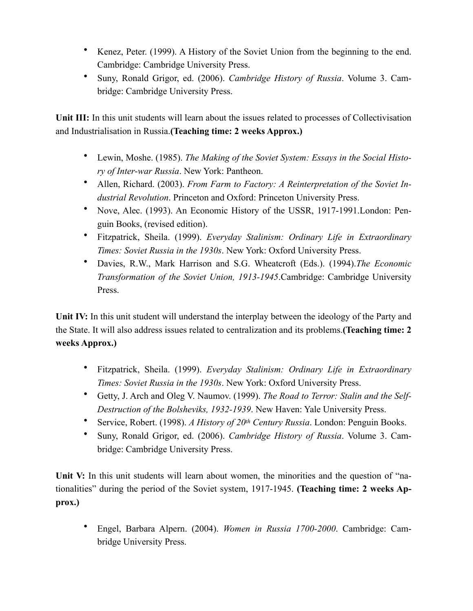- Kenez, Peter. (1999). A History of the Soviet Union from the beginning to the end. Cambridge: Cambridge University Press.
- Suny, Ronald Grigor, ed. (2006). *Cambridge History of Russia*. Volume 3. Cambridge: Cambridge University Press.

**Unit III:** In this unit students will learn about the issues related to processes of Collectivisation and Industrialisation in Russia.**(Teaching time: 2 weeks Approx.)**

- Lewin, Moshe. (1985). *The Making of the Soviet System: Essays in the Social History of Inter-war Russia*. New York: Pantheon.
- Allen, Richard. (2003). *From Farm to Factory: A Reinterpretation of the Soviet Industrial Revolution*. Princeton and Oxford: Princeton University Press.
- Nove, Alec. (1993). An Economic History of the USSR, 1917-1991.London: Penguin Books, (revised edition).
- Fitzpatrick, Sheila. (1999). *Everyday Stalinism: Ordinary Life in Extraordinary Times: Soviet Russia in the 1930s*. New York: Oxford University Press.
- Davies, R.W., Mark Harrison and S.G. Wheatcroft (Eds.). (1994).*The Economic Transformation of the Soviet Union, 1913-1945*.Cambridge: Cambridge University Press.

Unit IV: In this unit student will understand the interplay between the ideology of the Party and the State. It will also address issues related to centralization and its problems.**(Teaching time: 2 weeks Approx.)**

- Fitzpatrick, Sheila. (1999). *Everyday Stalinism: Ordinary Life in Extraordinary Times: Soviet Russia in the 1930s*. New York: Oxford University Press.
- Getty, J. Arch and Oleg V. Naumov. (1999). *The Road to Terror: Stalin and the Self-Destruction of the Bolsheviks, 1932-1939*. New Haven: Yale University Press.
- Service, Robert. (1998). *A History of 20th Century Russia*. London: Penguin Books.
- Suny, Ronald Grigor, ed. (2006). *Cambridge History of Russia*. Volume 3. Cambridge: Cambridge University Press.

Unit V: In this unit students will learn about women, the minorities and the question of "nationalities" during the period of the Soviet system, 1917-1945. **(Teaching time: 2 weeks Approx.)**

• Engel, Barbara Alpern. (2004). *Women in Russia 1700-2000*. Cambridge: Cambridge University Press.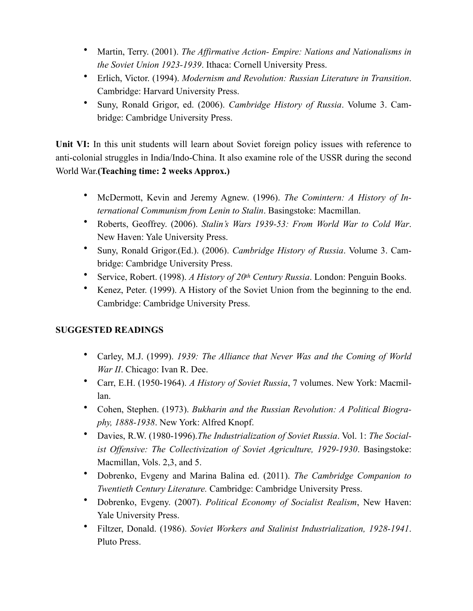- Martin, Terry. (2001). *The Affirmative Action- Empire: Nations and Nationalisms in the Soviet Union 1923-1939*. Ithaca: Cornell University Press.
- Erlich, Victor. (1994). *Modernism and Revolution: Russian Literature in Transition*. Cambridge: Harvard University Press.
- Suny, Ronald Grigor, ed. (2006). *Cambridge History of Russia*. Volume 3. Cambridge: Cambridge University Press.

Unit VI: In this unit students will learn about Soviet foreign policy issues with reference to anti-colonial struggles in India/Indo-China. It also examine role of the USSR during the second World War.**(Teaching time: 2 weeks Approx.)**

- McDermott, Kevin and Jeremy Agnew. (1996). *The Comintern: A History of International Communism from Lenin to Stalin*. Basingstoke: Macmillan.
- Roberts, Geoffrey. (2006). *Stalin's Wars 1939-53: From World War to Cold War*. New Haven: Yale University Press.
- Suny, Ronald Grigor.(Ed.). (2006). *Cambridge History of Russia*. Volume 3. Cambridge: Cambridge University Press.
- Service, Robert. (1998). *A History of 20th Century Russia*. London: Penguin Books.
- Kenez, Peter. (1999). A History of the Soviet Union from the beginning to the end. Cambridge: Cambridge University Press.

# **SUGGESTED READINGS**

- Carley, M.J. (1999). *1939: The Alliance that Never Was and the Coming of World War II*. Chicago: Ivan R. Dee.
- Carr, E.H. (1950-1964). *A History of Soviet Russia*, 7 volumes. New York: Macmillan.
- Cohen, Stephen. (1973). *Bukharin and the Russian Revolution: A Political Biography, 1888-1938*. New York: Alfred Knopf.
- Davies, R.W. (1980-1996).*The Industrialization of Soviet Russia*. Vol. 1: *The Socialist Offensive: The Collectivization of Soviet Agriculture, 1929-1930*. Basingstoke: Macmillan, Vols. 2,3, and 5.
- Dobrenko, Evgeny and Marina Balina ed. (2011). *The Cambridge Companion to Twentieth Century Literature.* Cambridge: Cambridge University Press.
- Dobrenko, Evgeny. (2007). *Political Economy of Socialist Realism*, New Haven: Yale University Press.
- Filtzer, Donald. (1986). *Soviet Workers and Stalinist Industrialization, 1928-1941*. Pluto Press.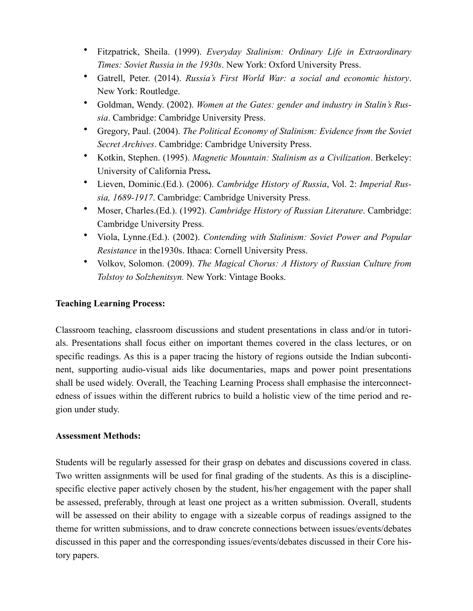- Fitzpatrick, Sheila. (1999). *Everyday Stalinism: Ordinary Life in Extraordinary Times: Soviet Russia in the 1930s*. New York: Oxford University Press.
- Gatrell, Peter. (2014). *Russia's First World War: a social and economic history*. New York: Routledge.
- Goldman, Wendy. (2002). *Women at the Gates: gender and industry in Stalin's Russia*. Cambridge: Cambridge University Press.
- Gregory, Paul. (2004). *The Political Economy of Stalinism: Evidence from the Soviet Secret Archives*. Cambridge: Cambridge University Press.
- Kotkin, Stephen. (1995). *Magnetic Mountain: Stalinism as a Civilization*. Berkeley: University of California Press**.**
- Lieven, Dominic.(Ed.). (2006). *Cambridge History of Russia*, Vol. 2: *Imperial Russia, 1689-1917*. Cambridge: Cambridge University Press.
- Moser, Charles.(Ed.). (1992). *Cambridge History of Russian Literature*. Cambridge: Cambridge University Press.
- Viola, Lynne.(Ed.). (2002). *Contending with Stalinism: Soviet Power and Popular Resistance* in the1930s. Ithaca: Cornell University Press.
- Volkov, Solomon. (2009). *The Magical Chorus: A History of Russian Culture from Tolstoy to Solzhenitsyn.* New York: Vintage Books.

# **Teaching Learning Process:**

Classroom teaching, classroom discussions and student presentations in class and/or in tutorials. Presentations shall focus either on important themes covered in the class lectures, or on specific readings. As this is a paper tracing the history of regions outside the Indian subcontinent, supporting audio-visual aids like documentaries, maps and power point presentations shall be used widely. Overall, the Teaching Learning Process shall emphasise the interconnectedness of issues within the different rubrics to build a holistic view of the time period and region under study.

## **Assessment Methods:**

Students will be regularly assessed for their grasp on debates and discussions covered in class. Two written assignments will be used for final grading of the students. As this is a disciplinespecific elective paper actively chosen by the student, his/her engagement with the paper shall be assessed, preferably, through at least one project as a written submission. Overall, students will be assessed on their ability to engage with a sizeable corpus of readings assigned to the theme for written submissions, and to draw concrete connections between issues/events/debates discussed in this paper and the corresponding issues/events/debates discussed in their Core history papers.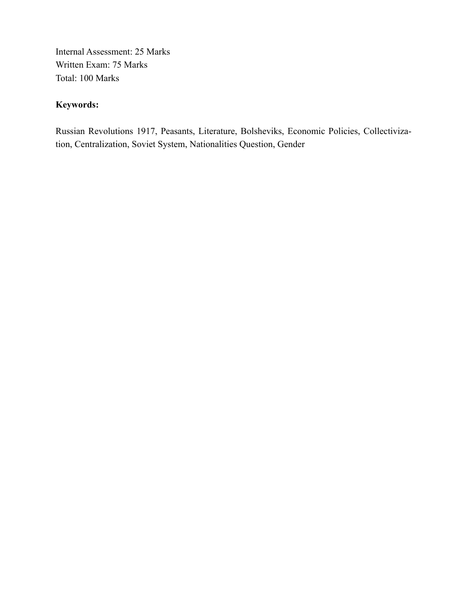Internal Assessment: 25 Marks Written Exam: 75 Marks Total: 100 Marks

# **Keywords:**

Russian Revolutions 1917, Peasants, Literature, Bolsheviks, Economic Policies, Collectivization, Centralization, Soviet System, Nationalities Question, Gender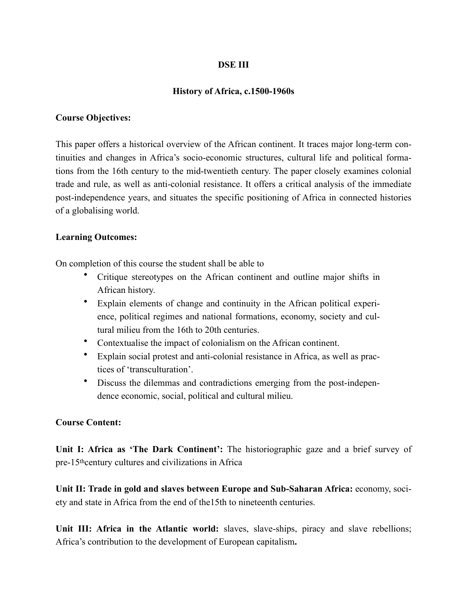### **DSE III**

#### **History of Africa, c.1500-1960s**

#### **Course Objectives:**

This paper offers a historical overview of the African continent. It traces major long-term continuities and changes in Africa's socio-economic structures, cultural life and political formations from the 16th century to the mid-twentieth century. The paper closely examines colonial trade and rule, as well as anti-colonial resistance. It offers a critical analysis of the immediate post-independence years, and situates the specific positioning of Africa in connected histories of a globalising world.

#### **Learning Outcomes:**

On completion of this course the student shall be able to

- Critique stereotypes on the African continent and outline major shifts in African history.
- Explain elements of change and continuity in the African political experience, political regimes and national formations, economy, society and cultural milieu from the 16th to 20th centuries.
- Contextualise the impact of colonialism on the African continent.
- Explain social protest and anti-colonial resistance in Africa, as well as practices of 'transculturation'.
- Discuss the dilemmas and contradictions emerging from the post-independence economic, social, political and cultural milieu.

#### **Course Content:**

Unit I: Africa as 'The Dark Continent': The historiographic gaze and a brief survey of pre-15thcentury cultures and civilizations in Africa

**Unit II: Trade in gold and slaves between Europe and Sub-Saharan Africa:** economy, society and state in Africa from the end of the15th to nineteenth centuries.

Unit III: Africa in the Atlantic world: slaves, slave-ships, piracy and slave rebellions; Africa's contribution to the development of European capitalism**.**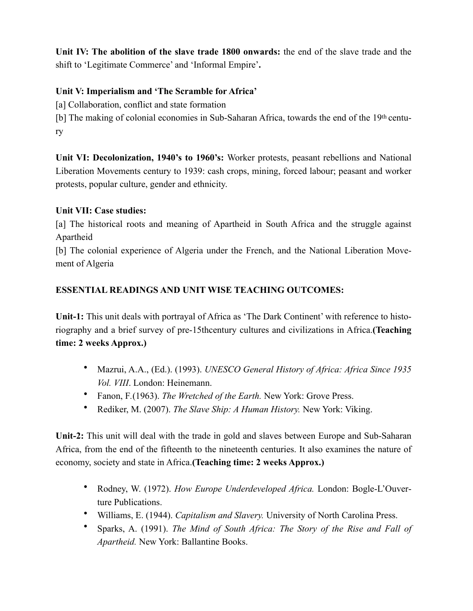**Unit IV: The abolition of the slave trade 1800 onwards:** the end of the slave trade and the shift to 'Legitimate Commerce' and 'Informal Empire'**.**

# **Unit V: Imperialism and 'The Scramble for Africa'**

[a] Collaboration, conflict and state formation

[b] The making of colonial economies in Sub-Saharan Africa, towards the end of the 19th century

**Unit VI: Decolonization, 1940's to 1960's:** Worker protests, peasant rebellions and National Liberation Movements century to 1939: cash crops, mining, forced labour; peasant and worker protests, popular culture, gender and ethnicity.

# **Unit VII: Case studies:**

[a] The historical roots and meaning of Apartheid in South Africa and the struggle against Apartheid

[b] The colonial experience of Algeria under the French, and the National Liberation Movement of Algeria

# **ESSENTIAL READINGS AND UNIT WISE TEACHING OUTCOMES:**

**Unit-1:** This unit deals with portrayal of Africa as 'The Dark Continent' with reference to historiography and a brief survey of pre-15thcentury cultures and civilizations in Africa.**(Teaching time: 2 weeks Approx.)**

- Mazrui, A.A., (Ed.). (1993). *UNESCO General History of Africa: Africa Since 1935 Vol. VIII*. London: Heinemann.
- Fanon, F*.*(1963). *The Wretched of the Earth.* New York: Grove Press.
- Rediker, M. (2007). *The Slave Ship: A Human History.* New York: Viking.

**Unit-2:** This unit will deal with the trade in gold and slaves between Europe and Sub-Saharan Africa, from the end of the fifteenth to the nineteenth centuries. It also examines the nature of economy, society and state in Africa.**(Teaching time: 2 weeks Approx.)**

- Rodney, W. (1972). *How Europe Underdeveloped Africa.* London: Bogle-L'Ouverture Publications.
- Williams, E. (1944). *Capitalism and Slavery.* University of North Carolina Press.
- Sparks, A. (1991). *The Mind of South Africa: The Story of the Rise and Fall of Apartheid.* New York: Ballantine Books.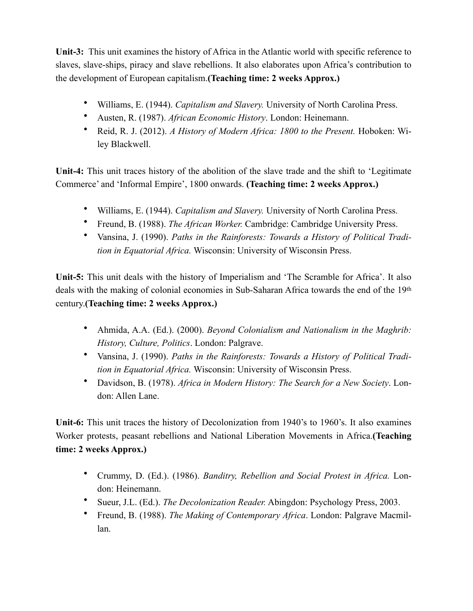**Unit-3:** This unit examines the history of Africa in the Atlantic world with specific reference to slaves, slave-ships, piracy and slave rebellions. It also elaborates upon Africa's contribution to the development of European capitalism.**(Teaching time: 2 weeks Approx.)**

- Williams, E. (1944). *Capitalism and Slavery.* University of North Carolina Press.
- Austen, R. (1987). *African Economic History*. London: Heinemann.
- Reid, R. J. (2012). *A History of Modern Africa: 1800 to the Present.* Hoboken: Wiley Blackwell.

**Unit-4:** This unit traces history of the abolition of the slave trade and the shift to 'Legitimate Commerce' and 'Informal Empire', 1800 onwards. **(Teaching time: 2 weeks Approx.)**

- Williams, E. (1944). *Capitalism and Slavery.* University of North Carolina Press.
- Freund, B. (1988). *The African Worker.* Cambridge: Cambridge University Press.
- Vansina, J. (1990). *Paths in the Rainforests: Towards a History of Political Tradition in Equatorial Africa.* Wisconsin: University of Wisconsin Press.

**Unit-5:** This unit deals with the history of Imperialism and 'The Scramble for Africa'. It also deals with the making of colonial economies in Sub-Saharan Africa towards the end of the 19th century.**(Teaching time: 2 weeks Approx.)**

- Ahmida, A.A. (Ed.). (2000). *Beyond Colonialism and Nationalism in the Maghrib: History, Culture, Politics*. London: Palgrave.
- Vansina, J. (1990). *Paths in the Rainforests: Towards a History of Political Tradition in Equatorial Africa.* Wisconsin: University of Wisconsin Press.
- Davidson, B. (1978). *Africa in Modern History: The Search for a New Society*. London: Allen Lane.

**Unit-6:** This unit traces the history of Decolonization from 1940's to 1960's. It also examines Worker protests, peasant rebellions and National Liberation Movements in Africa.**(Teaching time: 2 weeks Approx.)**

- Crummy, D. (Ed.). (1986). *Banditry, Rebellion and Social Protest in Africa.* London: Heinemann.
- Sueur, J.L. (Ed.). *The Decolonization Reader.* Abingdon: Psychology Press, 2003.
- Freund, B. (1988). *The Making of Contemporary Africa*. London: Palgrave Macmillan.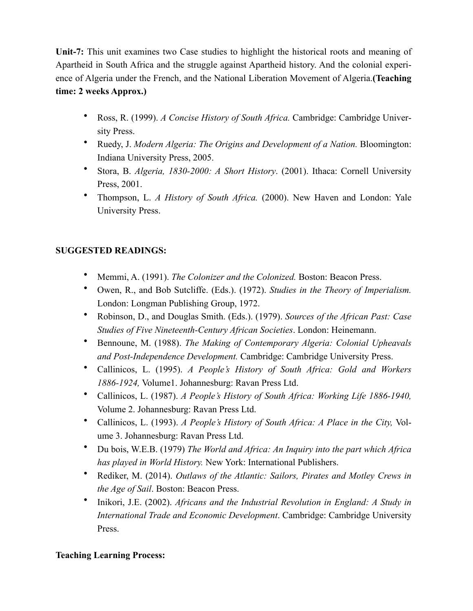**Unit-7:** This unit examines two Case studies to highlight the historical roots and meaning of Apartheid in South Africa and the struggle against Apartheid history. And the colonial experience of Algeria under the French, and the National Liberation Movement of Algeria.**(Teaching time: 2 weeks Approx.)**

- Ross, R. (1999). *A Concise History of South Africa.* Cambridge: Cambridge University Press.
- Ruedy, J. *Modern Algeria: The Origins and Development of a Nation.* Bloomington: Indiana University Press, 2005.
- Stora, B. *Algeria, 1830-2000: A Short History*. (2001). Ithaca: Cornell University Press, 2001.
- Thompson, L. *A History of South Africa.* (2000). New Haven and London: Yale University Press.

# **SUGGESTED READINGS:**

- Memmi, A. (1991). *The Colonizer and the Colonized.* Boston: Beacon Press.
- Owen, R., and Bob Sutcliffe. (Eds.). (1972). *Studies in the Theory of Imperialism.*  London: Longman Publishing Group, 1972.
- Robinson, D., and Douglas Smith. (Eds.). (1979). *Sources of the African Past: Case Studies of Five Nineteenth-Century African Societies*. London: Heinemann.
- Bennoune, M. (1988). *The Making of Contemporary Algeria: Colonial Upheavals and Post-Independence Development.* Cambridge: Cambridge University Press.
- Callinicos, L. (1995). *A People's History of South Africa: Gold and Workers 1886-1924,* Volume1. Johannesburg: Ravan Press Ltd.
- Callinicos, L. (1987). *A People's History of South Africa: Working Life 1886-1940,* Volume 2. Johannesburg: Ravan Press Ltd.
- Callinicos, L. (1993). *A People's History of South Africa: A Place in the City,* Volume 3. Johannesburg: Ravan Press Ltd.
- Du bois, W.E.B. (1979) *The World and Africa: An Inquiry into the part which Africa has played in World History.* New York: International Publishers.
- Rediker, M. (2014). *Outlaws of the Atlantic: Sailors, Pirates and Motley Crews in the Age of Sail*. Boston: Beacon Press.
- Inikori, J.E. (2002). *Africans and the Industrial Revolution in England: A Study in International Trade and Economic Development*. Cambridge: Cambridge University Press.

## **Teaching Learning Process:**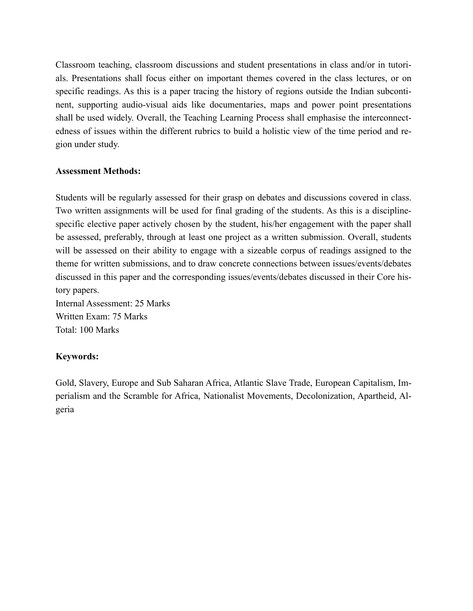Classroom teaching, classroom discussions and student presentations in class and/or in tutorials. Presentations shall focus either on important themes covered in the class lectures, or on specific readings. As this is a paper tracing the history of regions outside the Indian subcontinent, supporting audio-visual aids like documentaries, maps and power point presentations shall be used widely. Overall, the Teaching Learning Process shall emphasise the interconnectedness of issues within the different rubrics to build a holistic view of the time period and region under study.

### **Assessment Methods:**

Students will be regularly assessed for their grasp on debates and discussions covered in class. Two written assignments will be used for final grading of the students. As this is a disciplinespecific elective paper actively chosen by the student, his/her engagement with the paper shall be assessed, preferably, through at least one project as a written submission. Overall, students will be assessed on their ability to engage with a sizeable corpus of readings assigned to the theme for written submissions, and to draw concrete connections between issues/events/debates discussed in this paper and the corresponding issues/events/debates discussed in their Core history papers. Internal Assessment: 25 Marks

Written Exam: 75 Marks Total: 100 Marks

## **Keywords:**

Gold, Slavery, Europe and Sub Saharan Africa, Atlantic Slave Trade, European Capitalism, Imperialism and the Scramble for Africa, Nationalist Movements, Decolonization, Apartheid, Algeria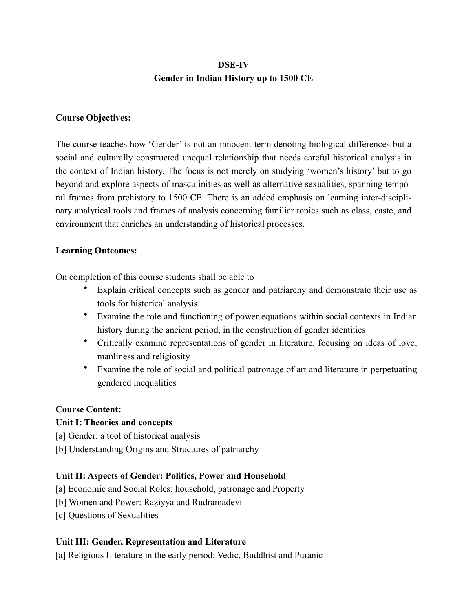# **DSE-IV Gender in Indian History up to 1500 CE**

### **Course Objectives:**

The course teaches how 'Gender' is not an innocent term denoting biological differences but a social and culturally constructed unequal relationship that needs careful historical analysis in the context of Indian history. The focus is not merely on studying 'women's history' but to go beyond and explore aspects of masculinities as well as alternative sexualities, spanning temporal frames from prehistory to 1500 CE. There is an added emphasis on learning inter-disciplinary analytical tools and frames of analysis concerning familiar topics such as class, caste, and environment that enriches an understanding of historical processes.

### **Learning Outcomes:**

On completion of this course students shall be able to

- Explain critical concepts such as gender and patriarchy and demonstrate their use as tools for historical analysis
- Examine the role and functioning of power equations within social contexts in Indian history during the ancient period, in the construction of gender identities
- Critically examine representations of gender in literature, focusing on ideas of love, manliness and religiosity
- Examine the role of social and political patronage of art and literature in perpetuating gendered inequalities

#### **Course Content:**

## **Unit I: Theories and concepts**

- [a] Gender: a tool of historical analysis
- [b] Understanding Origins and Structures of patriarchy

## **Unit II: Aspects of Gender: Politics, Power and Household**

- [a] Economic and Social Roles: household, patronage and Property
- [b] Women and Power: Raziyya and Rudramadevi
- [c] Questions of Sexualities

## **Unit III: Gender, Representation and Literature**

[a] Religious Literature in the early period: Vedic, Buddhist and Puranic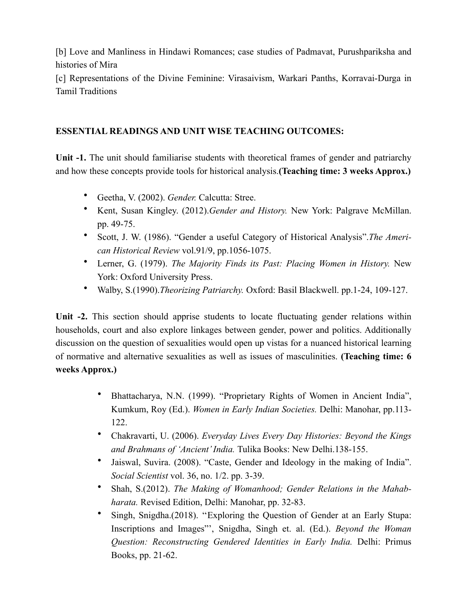[b] Love and Manliness in Hindawi Romances; case studies of Padmavat, Purushpariksha and histories of Mira

[c] Representations of the Divine Feminine: Virasaivism, Warkari Panths, Korravai-Durga in Tamil Traditions

# **ESSENTIAL READINGS AND UNIT WISE TEACHING OUTCOMES:**

**Unit -1.** The unit should familiarise students with theoretical frames of gender and patriarchy and how these concepts provide tools for historical analysis.**(Teaching time: 3 weeks Approx.)**

- Geetha, V. (2002). *Gender.* Calcutta: Stree.
- Kent, Susan Kingley. (2012).*Gender and History.* New York: Palgrave McMillan. pp. 49-75.
- Scott, J. W. (1986). "Gender a useful Category of Historical Analysis".*The American Historical Review* vol.91/9, pp.1056-1075.
- Lerner, G. (1979). *The Majority Finds its Past: Placing Women in History.* New York: Oxford University Press.
- Walby, S.(1990).*Theorizing Patriarchy.* Oxford: Basil Blackwell. pp.1-24, 109-127.

**Unit -2.** This section should apprise students to locate fluctuating gender relations within households, court and also explore linkages between gender, power and politics. Additionally discussion on the question of sexualities would open up vistas for a nuanced historical learning of normative and alternative sexualities as well as issues of masculinities. **(Teaching time: 6 weeks Approx.)**

- Bhattacharya, N.N. (1999). "Proprietary Rights of Women in Ancient India", Kumkum, Roy (Ed.). *Women in Early Indian Societies.* Delhi: Manohar, pp.113- 122.
- Chakravarti, U. (2006). *Everyday Lives Every Day Histories: Beyond the Kings and Brahmans of 'Ancient' India.* Tulika Books: New Delhi.138-155.
- Jaiswal, Suvira. (2008). "Caste, Gender and Ideology in the making of India". *Social Scientist* vol. 36, no. 1/2. pp. 3-39.
- Shah, S.(2012). *The Making of Womanhood; Gender Relations in the Mahabharata.* Revised Edition, Delhi: Manohar, pp. 32-83.
- Singh, Snigdha.(2018). ''Exploring the Question of Gender at an Early Stupa: Inscriptions and Images"', Snigdha, Singh et. al. (Ed.). *Beyond the Woman Question: Reconstructing Gendered Identities in Early India.* Delhi: Primus Books, pp. 21-62.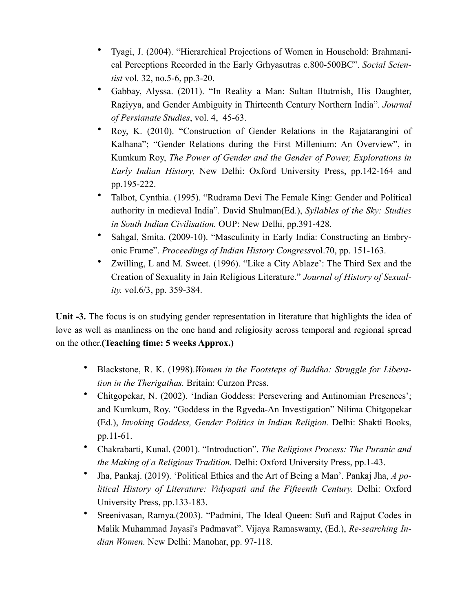- Tyagi, J. (2004). "Hierarchical Projections of Women in Household: Brahmanical Perceptions Recorded in the Early Grhyasutras c.800-500BC". *Social Scientist* vol. 32, no.5-6, pp.3-20.
- Gabbay, Alyssa. (2011). "In Reality a Man: Sultan Iltutmish, His Daughter, Raẓiyya, and Gender Ambiguity in Thirteenth Century Northern India". *Journal of Persianate Studies*, vol. 4, 45-63.
- Roy, K. (2010). "Construction of Gender Relations in the Rajatarangini of Kalhana"; "Gender Relations during the First Millenium: An Overview", in Kumkum Roy, *The Power of Gender and the Gender of Power, Explorations in Early Indian History,* New Delhi: Oxford University Press, pp.142-164 and pp.195-222.
- Talbot, Cynthia. (1995). "Rudrama Devi The Female King: Gender and Political authority in medieval India". David Shulman(Ed.), *Syllables of the Sky: Studies in South Indian Civilisation.* OUP: New Delhi, pp.391-428.
- Sahgal, Smita. (2009-10). "Masculinity in Early India: Constructing an Embryonic Frame". *Proceedings of Indian History Congress*vol.70, pp. 151-163.
- Zwilling, L and M. Sweet. (1996). "Like a City Ablaze': The Third Sex and the Creation of Sexuality in Jain Religious Literature." *Journal of History of Sexuality.* vol.6/3, pp. 359-384.

Unit -3. The focus is on studying gender representation in literature that highlights the idea of love as well as manliness on the one hand and religiosity across temporal and regional spread on the other.**(Teaching time: 5 weeks Approx.)**

- Blackstone, R. K. (1998).*Women in the Footsteps of Buddha: Struggle for Liberation in the Therigathas.* Britain: Curzon Press.
- Chitgopekar, N. (2002). 'Indian Goddess: Persevering and Antinomian Presences'; and Kumkum, Roy. "Goddess in the Rgveda-An Investigation" Nilima Chitgopekar (Ed.), *Invoking Goddess, Gender Politics in Indian Religion.* Delhi: Shakti Books, pp.11-61.
- Chakrabarti, Kunal. (2001). "Introduction". *The Religious Process: The Puranic and the Making of a Religious Tradition.* Delhi: Oxford University Press, pp.1-43.
- Jha, Pankaj. (2019). 'Political Ethics and the Art of Being a Man'. Pankaj Jha, *A political History of Literature: Vidyapati and the Fifteenth Century.* Delhi: Oxford University Press, pp.133-183.
- Sreenivasan, Ramya.(2003). "Padmini, The Ideal Queen: Sufi and Rajput Codes in Malik Muhammad Jayasi's Padmavat". Vijaya Ramaswamy, (Ed.), *Re-searching Indian Women.* New Delhi: Manohar, pp. 97-118.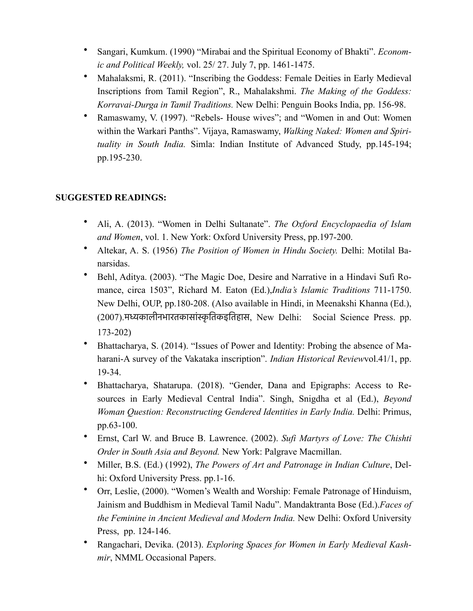- Sangari, Kumkum. (1990) "Mirabai and the Spiritual Economy of Bhakti". *Economic and Political Weekly,* vol. 25/ 27. July 7, pp. 1461-1475.
- Mahalaksmi, R. (2011). "Inscribing the Goddess: Female Deities in Early Medieval Inscriptions from Tamil Region", R., Mahalakshmi. *The Making of the Goddess: Korravai-Durga in Tamil Traditions.* New Delhi: Penguin Books India, pp. 156-98.
- Ramaswamy, V. (1997). "Rebels- House wives"; and "Women in and Out: Women within the Warkari Panths". Vijaya, Ramaswamy, *Walking Naked: Women and Spirituality in South India.* Simla: Indian Institute of Advanced Study, pp.145-194; pp.195-230.

# **SUGGESTED READINGS:**

- Ali, A. (2013). "Women in Delhi Sultanate". *The Oxford Encyclopaedia of Islam and Women*, vol. 1. New York: Oxford University Press, pp.197-200.
- Altekar, A. S. (1956) *The Position of Women in Hindu Society.* Delhi: Motilal Banarsidas.
- Behl, Aditya. (2003). "The Magic Doe, Desire and Narrative in a Hindavi Sufi Romance, circa 1503", Richard M. Eaton (Ed.),*India's Islamic Traditions* 711-1750. New Delhi, OUP, pp.180-208. (Also available in Hindi, in Meenakshi Khanna (Ed.), (2007).मध्यकालीनभारतकासांस्कृतिकइतिहास, New Delhi: Social Science Press. pp. 173-202)
- Bhattacharya, S. (2014). "Issues of Power and Identity: Probing the absence of Maharani-A survey of the Vakataka inscription". *Indian Historical Review*vol.41/1, pp. 19-34.
- Bhattacharya, Shatarupa. (2018). "Gender, Dana and Epigraphs: Access to Resources in Early Medieval Central India". Singh, Snigdha et al (Ed.), *Beyond Woman Question: Reconstructing Gendered Identities in Early India.* Delhi: Primus, pp.63-100.
- Ernst, Carl W. and Bruce B. Lawrence. (2002). *Sufi Martyrs of Love: The Chishti Order in South Asia and Beyond.* New York: Palgrave Macmillan.
- Miller, B.S. (Ed.) (1992), *The Powers of Art and Patronage in Indian Culture*, Delhi: Oxford University Press. pp.1-16.
- Orr, Leslie, (2000). "Women's Wealth and Worship: Female Patronage of Hinduism, Jainism and Buddhism in Medieval Tamil Nadu". Mandaktranta Bose (Ed.).*Faces of the Feminine in Ancient Medieval and Modern India.* New Delhi: Oxford University Press, pp. 124-146.
- Rangachari, Devika. (2013). *Exploring Spaces for Women in Early Medieval Kashmir*, NMML Occasional Papers.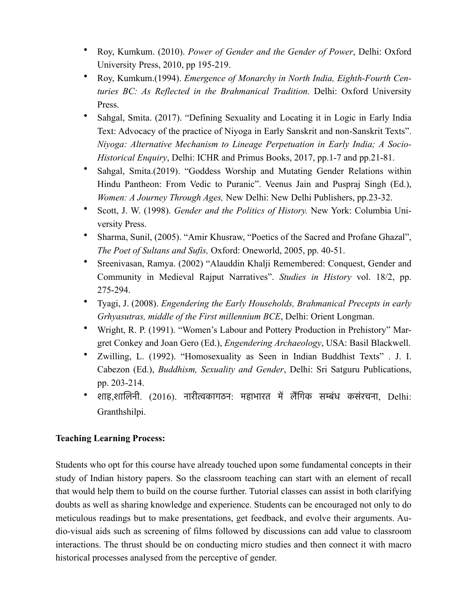- Roy, Kumkum. (2010). *Power of Gender and the Gender of Power*, Delhi: Oxford University Press, 2010, pp 195-219.
- Roy, Kumkum.(1994). *Emergence of Monarchy in North India, Eighth-Fourth Centuries BC: As Reflected in the Brahmanical Tradition.* Delhi: Oxford University Press.
- Sahgal, Smita. (2017). "Defining Sexuality and Locating it in Logic in Early India Text: Advocacy of the practice of Niyoga in Early Sanskrit and non-Sanskrit Texts". *Niyoga: Alternative Mechanism to Lineage Perpetuation in Early India; A Socio-Historical Enquiry*, Delhi: ICHR and Primus Books, 2017, pp.1-7 and pp.21-81.
- Sahgal, Smita.(2019). "Goddess Worship and Mutating Gender Relations within Hindu Pantheon: From Vedic to Puranic". Veenus Jain and Puspraj Singh (Ed.), *Women: A Journey Through Ages,* New Delhi: New Delhi Publishers, pp.23-32.
- Scott, J. W. (1998). *Gender and the Politics of History.* New York: Columbia University Press.
- Sharma, Sunil, (2005). "Amir Khusraw, "Poetics of the Sacred and Profane Ghazal", *The Poet of Sultans and Sufis,* Oxford: Oneworld, 2005, pp. 40-51.
- Sreenivasan, Ramya. (2002) "Alauddin Khalji Remembered: Conquest, Gender and Community in Medieval Rajput Narratives". *Studies in History* vol. 18/2, pp. 275-294.
- Tyagi, J. (2008). *Engendering the Early Households, Brahmanical Precepts in early Grhyasutras, middle of the First millennium BCE*, Delhi: Orient Longman.
- Wright, R. P. (1991). "Women's Labour and Pottery Production in Prehistory" Margret Conkey and Joan Gero (Ed.), *Engendering Archaeology*, USA: Basil Blackwell.
- Zwilling, L. (1992). "Homosexuality as Seen in Indian Buddhist Texts" . J. I. Cabezon (Ed.), *Buddhism, Sexuality and Gender*, Delhi: Sri Satguru Publications, pp. 203-214.
- शाह,शालिनी. (2016). नारीत्वकागठन: महाभारत में लैंगिक सम्बंध कसंरचना, Delhi: Granthshilpi.

# **Teaching Learning Process:**

Students who opt for this course have already touched upon some fundamental concepts in their study of Indian history papers. So the classroom teaching can start with an element of recall that would help them to build on the course further. Tutorial classes can assist in both clarifying doubts as well as sharing knowledge and experience. Students can be encouraged not only to do meticulous readings but to make presentations, get feedback, and evolve their arguments. Audio-visual aids such as screening of films followed by discussions can add value to classroom interactions. The thrust should be on conducting micro studies and then connect it with macro historical processes analysed from the perceptive of gender.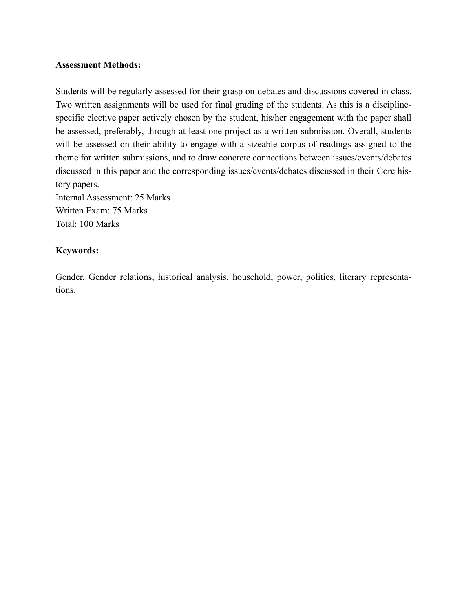#### **Assessment Methods:**

Students will be regularly assessed for their grasp on debates and discussions covered in class. Two written assignments will be used for final grading of the students. As this is a disciplinespecific elective paper actively chosen by the student, his/her engagement with the paper shall be assessed, preferably, through at least one project as a written submission. Overall, students will be assessed on their ability to engage with a sizeable corpus of readings assigned to the theme for written submissions, and to draw concrete connections between issues/events/debates discussed in this paper and the corresponding issues/events/debates discussed in their Core history papers. Internal Assessment: 25 Marks Written Exam: 75 Marks

Total: 100 Marks

### **Keywords:**

Gender, Gender relations, historical analysis, household, power, politics, literary representations.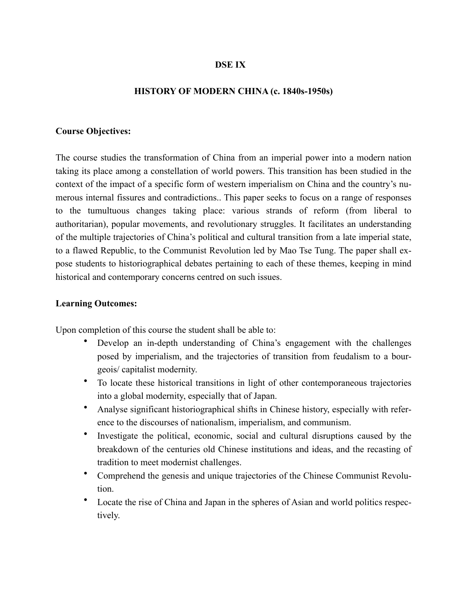### **DSE IX**

#### **HISTORY OF MODERN CHINA (c. 1840s-1950s)**

#### **Course Objectives:**

The course studies the transformation of China from an imperial power into a modern nation taking its place among a constellation of world powers. This transition has been studied in the context of the impact of a specific form of western imperialism on China and the country's numerous internal fissures and contradictions.. This paper seeks to focus on a range of responses to the tumultuous changes taking place: various strands of reform (from liberal to authoritarian), popular movements, and revolutionary struggles. It facilitates an understanding of the multiple trajectories of China's political and cultural transition from a late imperial state, to a flawed Republic, to the Communist Revolution led by Mao Tse Tung. The paper shall expose students to historiographical debates pertaining to each of these themes, keeping in mind historical and contemporary concerns centred on such issues.

#### **Learning Outcomes:**

Upon completion of this course the student shall be able to:

- Develop an in-depth understanding of China's engagement with the challenges posed by imperialism, and the trajectories of transition from feudalism to a bourgeois/ capitalist modernity.
- To locate these historical transitions in light of other contemporaneous trajectories into a global modernity, especially that of Japan.
- Analyse significant historiographical shifts in Chinese history, especially with reference to the discourses of nationalism, imperialism, and communism.
- Investigate the political, economic, social and cultural disruptions caused by the breakdown of the centuries old Chinese institutions and ideas, and the recasting of tradition to meet modernist challenges.
- Comprehend the genesis and unique trajectories of the Chinese Communist Revolution.
- Locate the rise of China and Japan in the spheres of Asian and world politics respectively.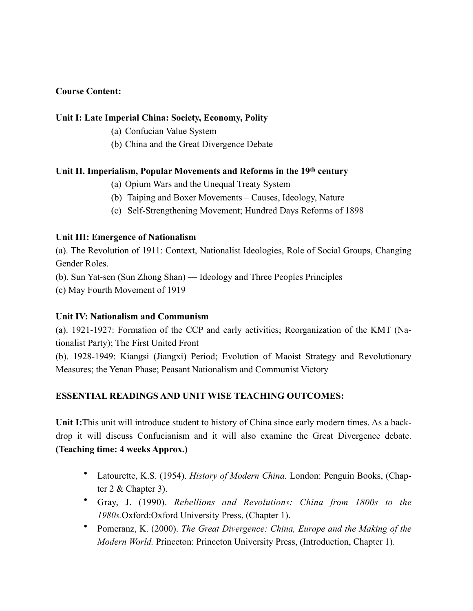# **Course Content:**

### **Unit I: Late Imperial China: Society, Economy, Polity**

- (a) Confucian Value System
- (b) China and the Great Divergence Debate

#### **Unit II. Imperialism, Popular Movements and Reforms in the 19th century**

- (a) Opium Wars and the Unequal Treaty System
- (b) Taiping and Boxer Movements Causes, Ideology, Nature
- (c) Self-Strengthening Movement; Hundred Days Reforms of 1898

### **Unit III: Emergence of Nationalism**

(a). The Revolution of 1911: Context, Nationalist Ideologies, Role of Social Groups, Changing Gender Roles.

(b). Sun Yat-sen (Sun Zhong Shan) — Ideology and Three Peoples Principles

(c) May Fourth Movement of 1919

## **Unit IV: Nationalism and Communism**

(a). 1921-1927: Formation of the CCP and early activities; Reorganization of the KMT (Nationalist Party); The First United Front

(b). 1928-1949: Kiangsi (Jiangxi) Period; Evolution of Maoist Strategy and Revolutionary Measures; the Yenan Phase; Peasant Nationalism and Communist Victory

## **ESSENTIAL READINGS AND UNIT WISE TEACHING OUTCOMES:**

**Unit I:**This unit will introduce student to history of China since early modern times. As a backdrop it will discuss Confucianism and it will also examine the Great Divergence debate. **(Teaching time: 4 weeks Approx.)**

- Latourette, K.S. (1954). *History of Modern China.* London: Penguin Books, (Chapter 2 & Chapter 3).
- Gray, J. (1990). *Rebellions and Revolutions: China from 1800s to the 1980s.*Oxford:Oxford University Press, (Chapter 1).
- Pomeranz, K. (2000). *The Great Divergence: China, Europe and the Making of the Modern World.* Princeton: Princeton University Press, (Introduction, Chapter 1).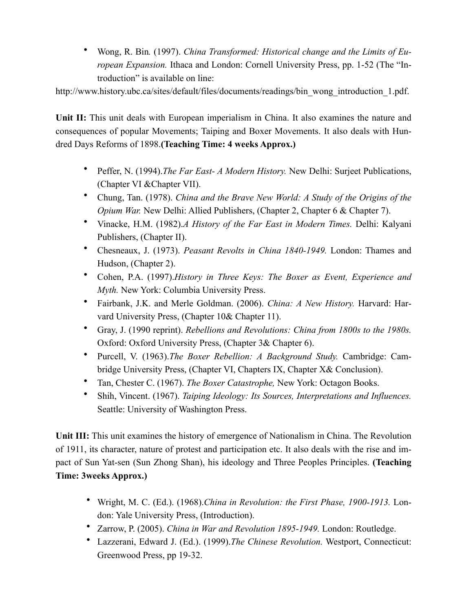• Wong, R. Bin*.* (1997). *China Transformed: Historical change and the Limits of European Expansion.* Ithaca and London: Cornell University Press, pp. 1-52 (The "Introduction" is available on line:

http://www.history.ubc.ca/sites/default/files/documents/readings/bin\_wong\_introduction\_1.pdf.

**Unit II:** This unit deals with European imperialism in China. It also examines the nature and consequences of popular Movements; Taiping and Boxer Movements. It also deals with Hundred Days Reforms of 1898.**(Teaching Time: 4 weeks Approx.)**

- Peffer, N. (1994).*The Far East- A Modern History.* New Delhi: Surjeet Publications, (Chapter VI &Chapter VII).
- Chung, Tan. (1978). *China and the Brave New World: A Study of the Origins of the Opium War.* New Delhi: Allied Publishers, (Chapter 2, Chapter 6 & Chapter 7).
- Vinacke, H.M. (1982).*A History of the Far East in Modern Times.* Delhi: Kalyani Publishers, (Chapter II).
- Chesneaux, J. (1973). *Peasant Revolts in China 1840-1949.* London: Thames and Hudson, (Chapter 2).
- Cohen, P.A. (1997).*History in Three Keys: The Boxer as Event, Experience and Myth.* New York: Columbia University Press.
- Fairbank, J.K. and Merle Goldman. (2006). *China: A New History.* Harvard: Harvard University Press, (Chapter 10& Chapter 11).
- Gray, J. (1990 reprint). *Rebellions and Revolutions: China from 1800s to the 1980s.* Oxford: Oxford University Press, (Chapter 3& Chapter 6).
- Purcell, V. (1963).*The Boxer Rebellion: A Background Study.* Cambridge: Cambridge University Press, (Chapter VI, Chapters IX, Chapter X& Conclusion).
- Tan, Chester C. (1967). *The Boxer Catastrophe,* New York: Octagon Books.
- Shih, Vincent. (1967). *Taiping Ideology: Its Sources, Interpretations and Influences.* Seattle: University of Washington Press.

**Unit III:** This unit examines the history of emergence of Nationalism in China. The Revolution of 1911, its character, nature of protest and participation etc. It also deals with the rise and impact of Sun Yat-sen (Sun Zhong Shan), his ideology and Three Peoples Principles. **(Teaching Time: 3weeks Approx.)**

- Wright, M. C. (Ed.). (1968).*China in Revolution: the First Phase, 1900-1913.* London: Yale University Press, (Introduction).
- Zarrow, P. (2005). *China in War and Revolution 1895-1949.* London: Routledge.
- Lazzerani, Edward J. (Ed.). (1999).*The Chinese Revolution.* Westport, Connecticut: Greenwood Press, pp 19-32.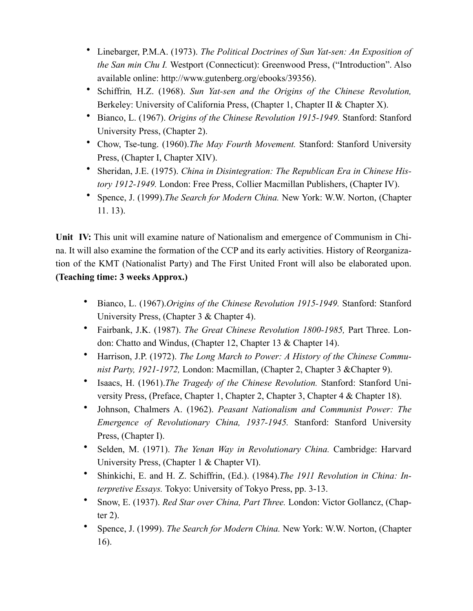- Linebarger, P.M.A. (1973). *The Political Doctrines of Sun Yat-sen: An Exposition of the San min Chu I.* Westport (Connecticut): Greenwood Press, ("Introduction". Also available online: http://www.gutenberg.org/ebooks/39356).
- Schiffrin*,* H.Z. (1968). *Sun Yat-sen and the Origins of the Chinese Revolution,*  Berkeley: University of California Press, (Chapter 1, Chapter II & Chapter X).
- Bianco, L. (1967). *Origins of the Chinese Revolution 1915-1949.* Stanford: Stanford University Press, (Chapter 2).
- Chow, Tse-tung. (1960).*The May Fourth Movement.* Stanford: Stanford University Press, (Chapter I, Chapter XIV).
- Sheridan, J.E. (1975). *China in Disintegration: The Republican Era in Chinese History 1912-1949.* London: Free Press, Collier Macmillan Publishers, (Chapter IV).
- Spence, J. (1999).*The Search for Modern China.* New York: W.W. Norton, (Chapter 11. 13).

**Unit IV:** This unit will examine nature of Nationalism and emergence of Communism in China. It will also examine the formation of the CCP and its early activities. History of Reorganization of the KMT (Nationalist Party) and The First United Front will also be elaborated upon. **(Teaching time: 3 weeks Approx.)**

- Bianco, L. (1967).*Origins of the Chinese Revolution 1915-1949.* Stanford: Stanford University Press, (Chapter 3 & Chapter 4).
- Fairbank, J.K. (1987). *The Great Chinese Revolution 1800-1985,* Part Three. London: Chatto and Windus, (Chapter 12, Chapter 13 & Chapter 14).
- Harrison, J.P. (1972). *The Long March to Power: A History of the Chinese Communist Party, 1921-1972,* London: Macmillan, (Chapter 2, Chapter 3 &Chapter 9).
- Isaacs, H. (1961).*The Tragedy of the Chinese Revolution.* Stanford: Stanford University Press, (Preface, Chapter 1, Chapter 2, Chapter 3, Chapter 4 & Chapter 18).
- Johnson, Chalmers A. (1962). *Peasant Nationalism and Communist Power: The Emergence of Revolutionary China, 1937-1945.* Stanford: Stanford University Press, (Chapter I).
- Selden, M. (1971). *The Yenan Way in Revolutionary China.* Cambridge: Harvard University Press, (Chapter 1 & Chapter VI).
- Shinkichi, E. and H. Z. Schiffrin, (Ed.). (1984).*The 1911 Revolution in China: Interpretive Essays.* Tokyo: University of Tokyo Press, pp. 3-13.
- Snow, E. (1937). *Red Star over China, Part Three.* London: Victor Gollancz, (Chapter 2).
- Spence, J. (1999). *The Search for Modern China.* New York: W.W. Norton, (Chapter 16).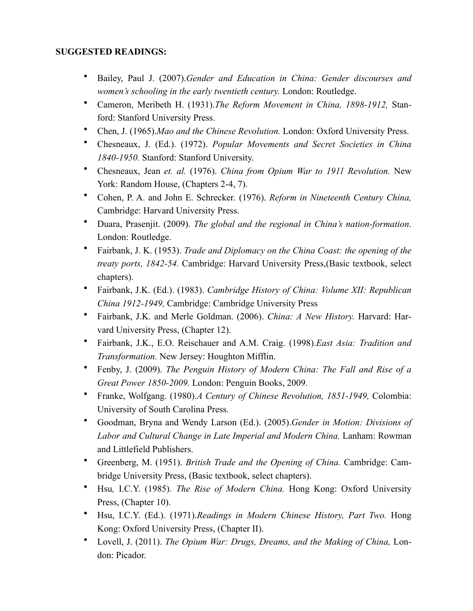# **SUGGESTED READINGS:**

- Bailey, Paul J. (2007).*Gender and Education in China: Gender discourses and women's schooling in the early twentieth century.* London: Routledge.
- Cameron, Meribeth H. (1931).*The Reform Movement in China, 1898-1912,* Stanford: Stanford University Press.
- Chen, J. (1965).*Mao and the Chinese Revolution.* London: Oxford University Press.
- Chesneaux, J. (Ed.). (1972). *Popular Movements and Secret Societies in China 1840-1950.* Stanford: Stanford University.
- Chesneaux, Jean *et. al.* (1976). *China from Opium War to 1911 Revolution.* New York: Random House, (Chapters 2-4, 7).
- Cohen, P. A. and John E. Schrecker*.* (1976). *Reform in Nineteenth Century China,*  Cambridge: Harvard University Press.
- Duara, Prasenjit. (2009). *The global and the regional in China's nation-formation*. London: Routledge.
- Fairbank, J. K. (1953). *Trade and Diplomacy on the China Coast: the opening of the treaty ports, 1842-54.* Cambridge: Harvard University Press,(Basic textbook, select chapters).
- Fairbank, J.K. (Ed.). (1983). *Cambridge History of China: Volume XII: Republican China 1912-1949,* Cambridge: Cambridge University Press
- Fairbank, J.K. and Merle Goldman. (2006). *China: A New History.* Harvard: Harvard University Press, (Chapter 12).
- Fairbank, J.K., E.O. Reischauer and A.M. Craig. (1998).*East Asia: Tradition and Transformation.* New Jersey: Houghton Mifflin.
- Fenby, J. (2009). *The Penguin History of Modern China: The Fall and Rise of a Great Power 1850-2009.* London: Penguin Books, 2009.
- Franke, Wolfgang. (1980).*A Century of Chinese Revolution, 1851-1949,* Colombia: University of South Carolina Press.
- Goodman, Bryna and Wendy Larson (Ed.). (2005).*Gender in Motion: Divisions of*  Labor and Cultural Change in Late Imperial and Modern China. Lanham: Rowman and Littlefield Publishers.
- Greenberg, M. (1951). *British Trade and the Opening of China.* Cambridge: Cambridge University Press, (Basic textbook, select chapters).
- Hsu*,* I.C.Y. (1985). *The Rise of Modern China.* Hong Kong: Oxford University Press, (Chapter 10).
- Hsu, I.C.Y. (Ed.). (1971).*Readings in Modern Chinese History, Part Two.* Hong Kong: Oxford University Press, (Chapter II).
- Lovell, J. (2011). *The Opium War: Drugs, Dreams, and the Making of China,* London: Picador.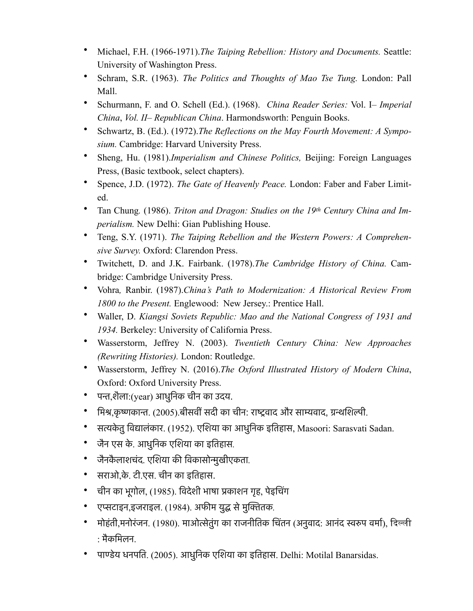- Michael, F.H. (1966-1971).*The Taiping Rebellion: History and Documents.* Seattle: University of Washington Press.
- Schram, S.R. (1963). *The Politics and Thoughts of Mao Tse Tung.* London: Pall Mall.
- Schurmann, F. and O. Schell (Ed.). (1968). *China Reader Series:* Vol. I– *Imperial China*, *Vol. II*– *Republican China*. Harmondsworth: Penguin Books.
- Schwartz, B. (Ed.). (1972).*The Reflections on the May Fourth Movement: A Symposium.* Cambridge: Harvard University Press.
- Sheng, Hu. (1981).*Imperialism and Chinese Politics,* Beijing: Foreign Languages Press, (Basic textbook, select chapters).
- Spence, J.D. (1972). *The Gate of Heavenly Peace.* London: Faber and Faber Limited.
- Tan Chung. (1986). *Triton and Dragon: Studies on the 19th Century China and Imperialism.* New Delhi: Gian Publishing House.
- Teng, S.Y. (1971). *The Taiping Rebellion and the Western Powers: A Comprehensive Survey.* Oxford: Clarendon Press.
- Twitchett, D. and J.K. Fairbank. (1978).*The Cambridge History of China.* Cambridge: Cambridge University Press.
- Vohra*,* Ranbir. (1987).*China's Path to Modernization: A Historical Review From 1800 to the Present.* Englewood: New Jersey.: Prentice Hall.
- Waller, D. *Kiangsi Soviets Republic: Mao and the National Congress of 1931 and 1934.* Berkeley: University of California Press.
- Wasserstorm, Jeffrey N. (2003). *Twentieth Century China: New Approaches (Rewriting Histories).* London: Routledge.
- Wasserstorm, Jeffrey N. (2016).*The Oxford Illustrated History of Modern China*, Oxford: Oxford University Press.
- पन्त,शैला:(year) आधुनिक चीन का उदय.
- मिश्र,कृष्णकान्त. (2005).बीसवीं सदी का चीन: राष्ट्रवाद और साम्यवाद, ग्रन्थशिल्पी.
- सत्यकेतु विद्यालंकार. (1952). एशिया का आधुनिक इतिहास, Masoori: Sarasvati Sadan.
- जैन एस के. आधुनिक एशिया का इतिहास*.*
- जैनकै लाशचंद. एशिया की विकासोन्मुखीएकता*.*
- सराओ,के. टी.एस. चीन का इतिहास.
- चीन का भूगोल, (1985). विदेशी भाषा प्रकाशन गृह, पेइचिंग
- एप्सटाइन,इजराइल. (1984). अफीम युद्ध सेमुक्तितक*.*
- मोहंती,मनोरंजन. (1980). माओत्सेतुंग का राजनीतिक चिंतन (अनुवाद: आनंद स्वरुप वर्मा), दिल्ली : मैकमिलन.
- पाण्डेय धनपति. (2005). आधुनिक एशिया का इतिहास. Delhi: Motilal Banarsidas.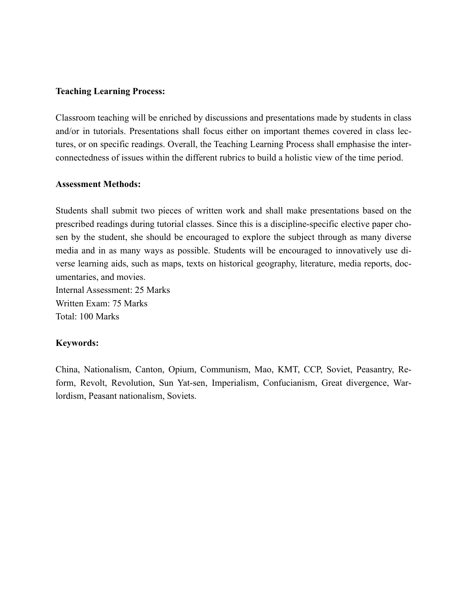#### **Teaching Learning Process:**

Classroom teaching will be enriched by discussions and presentations made by students in class and/or in tutorials. Presentations shall focus either on important themes covered in class lectures, or on specific readings. Overall, the Teaching Learning Process shall emphasise the interconnectedness of issues within the different rubrics to build a holistic view of the time period.

#### **Assessment Methods:**

Students shall submit two pieces of written work and shall make presentations based on the prescribed readings during tutorial classes. Since this is a discipline-specific elective paper chosen by the student, she should be encouraged to explore the subject through as many diverse media and in as many ways as possible. Students will be encouraged to innovatively use diverse learning aids, such as maps, texts on historical geography, literature, media reports, documentaries, and movies.

Internal Assessment: 25 Marks Written Exam: 75 Marks Total: 100 Marks

## **Keywords:**

China, Nationalism, Canton, Opium, Communism, Mao, KMT, CCP, Soviet, Peasantry, Reform, Revolt, Revolution, Sun Yat-sen, Imperialism, Confucianism, Great divergence, Warlordism, Peasant nationalism, Soviets.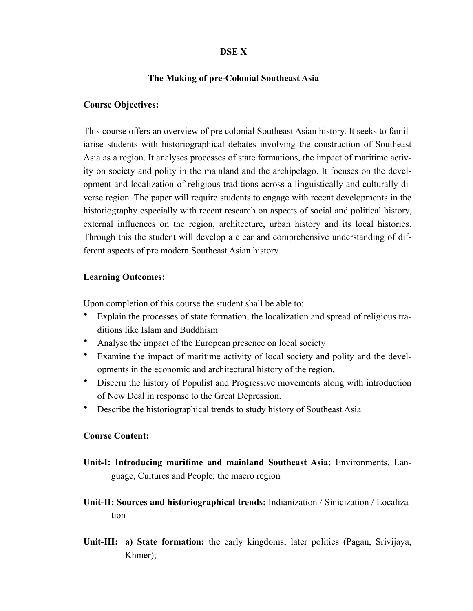#### **DSE X**

### **The Making of pre-Colonial Southeast Asia**

#### **Course Objectives:**

This course offers an overview of pre colonial Southeast Asian history. It seeks to familiarise students with historiographical debates involving the construction of Southeast Asia as a region. It analyses processes of state formations, the impact of maritime activity on society and polity in the mainland and the archipelago. It focuses on the development and localization of religious traditions across a linguistically and culturally diverse region. The paper will require students to engage with recent developments in the historiography especially with recent research on aspects of social and political history, external influences on the region, architecture, urban history and its local histories. Through this the student will develop a clear and comprehensive understanding of different aspects of pre modern Southeast Asian history.

#### **Learning Outcomes:**

Upon completion of this course the student shall be able to:

- Explain the processes of state formation, the localization and spread of religious traditions like Islam and Buddhism
- Analyse the impact of the European presence on local society
- Examine the impact of maritime activity of local society and polity and the developments in the economic and architectural history of the region.
- Discern the history of Populist and Progressive movements along with introduction of New Deal in response to the Great Depression.
- Describe the historiographical trends to study history of Southeast Asia

#### **Course Content:**

- **Unit-I: Introducing maritime and mainland Southeast Asia:** Environments, Language, Cultures and People; the macro region
- **Unit-II: Sources and historiographical trends:** Indianization / Sinicization / Localization
- **Unit-III: a) State formation:** the early kingdoms; later polities (Pagan, Srivijaya, Khmer);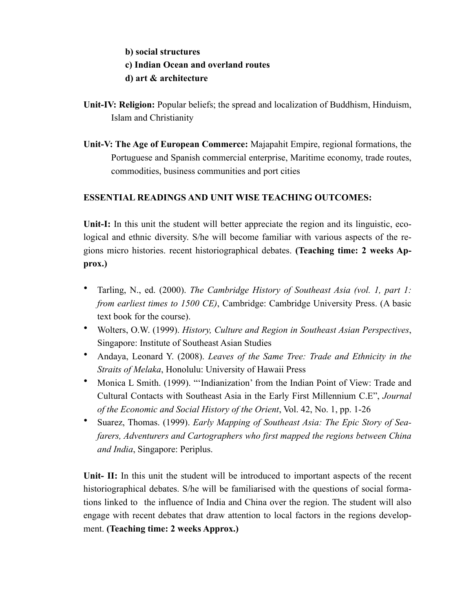# **b) social structures c) Indian Ocean and overland routes d) art & architecture**

- **Unit-IV: Religion:** Popular beliefs; the spread and localization of Buddhism, Hinduism, Islam and Christianity
- **Unit-V: The Age of European Commerce:** Majapahit Empire, regional formations, the Portuguese and Spanish commercial enterprise, Maritime economy, trade routes, commodities, business communities and port cities

# **ESSENTIAL READINGS AND UNIT WISE TEACHING OUTCOMES:**

**Unit-I:** In this unit the student will better appreciate the region and its linguistic, ecological and ethnic diversity. S/he will become familiar with various aspects of the regions micro histories. recent historiographical debates. **(Teaching time: 2 weeks Approx.)**

- Tarling, N., ed. (2000). *The Cambridge History of Southeast Asia (vol. 1, part 1: from earliest times to 1500 CE)*, Cambridge: Cambridge University Press. (A basic text book for the course).
- Wolters, O.W. (1999). *History, Culture and Region in Southeast Asian Perspectives*, Singapore: Institute of Southeast Asian Studies
- Andaya, Leonard Y. (2008). *Leaves of the Same Tree: Trade and Ethnicity in the Straits of Melaka*, Honolulu: University of Hawaii Press
- Monica L Smith. (1999). "'Indianization' from the Indian Point of View: Trade and Cultural Contacts with Southeast Asia in the Early First Millennium C.E", *Journal of the Economic and Social History of the Orient*, Vol. 42, No. 1, pp. 1-26
- Suarez, Thomas. (1999). *Early Mapping of Southeast Asia: The Epic Story of Seafarers, Adventurers and Cartographers who first mapped the regions between China and India*, Singapore: Periplus.

**Unit- II:** In this unit the student will be introduced to important aspects of the recent historiographical debates. S/he will be familiarised with the questions of social formations linked to the influence of India and China over the region. The student will also engage with recent debates that draw attention to local factors in the regions development. **(Teaching time: 2 weeks Approx.)**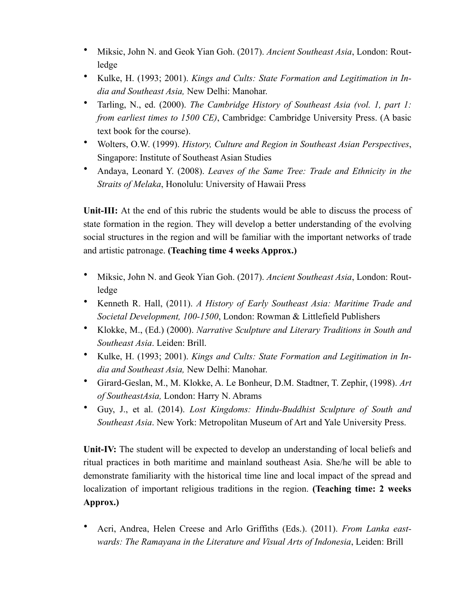- Miksic, John N. and Geok Yian Goh. (2017). *Ancient Southeast Asia*, London: Routledge
- Kulke, H. (1993; 2001). *Kings and Cults: State Formation and Legitimation in India and Southeast Asia,* New Delhi: Manohar.
- Tarling, N., ed. (2000). *The Cambridge History of Southeast Asia (vol. 1, part 1: from earliest times to 1500 CE)*, Cambridge: Cambridge University Press. (A basic text book for the course).
- Wolters, O.W. (1999). *History, Culture and Region in Southeast Asian Perspectives*, Singapore: Institute of Southeast Asian Studies
- Andaya, Leonard Y. (2008). *Leaves of the Same Tree: Trade and Ethnicity in the Straits of Melaka*, Honolulu: University of Hawaii Press

Unit-III: At the end of this rubric the students would be able to discuss the process of state formation in the region. They will develop a better understanding of the evolving social structures in the region and will be familiar with the important networks of trade and artistic patronage. **(Teaching time 4 weeks Approx.)**

- Miksic, John N. and Geok Yian Goh. (2017). *Ancient Southeast Asia*, London: Routledge
- Kenneth R. Hall, (2011). *A History of Early Southeast Asia: Maritime Trade and Societal Development, 100-1500*, London: Rowman & Littlefield Publishers
- Klokke, M., (Ed.) (2000). *Narrative Sculpture and Literary Traditions in South and Southeast Asia*. Leiden: Brill.
- Kulke, H. (1993; 2001). *Kings and Cults: State Formation and Legitimation in India and Southeast Asia,* New Delhi: Manohar.
- Girard-Geslan, M., M. Klokke, A. Le Bonheur, D.M. Stadtner, T. Zephir, (1998). *Art of SoutheastAsia,* London: Harry N. Abrams
- Guy, J., et al. (2014). *Lost Kingdoms: Hindu-Buddhist Sculpture of South and Southeast Asia*. New York: Metropolitan Museum of Art and Yale University Press.

**Unit-IV:** The student will be expected to develop an understanding of local beliefs and ritual practices in both maritime and mainland southeast Asia. She/he will be able to demonstrate familiarity with the historical time line and local impact of the spread and localization of important religious traditions in the region. **(Teaching time: 2 weeks Approx.)**

• Acri, Andrea, Helen Creese and Arlo Griffiths (Eds.). (2011). *From Lanka eastwards: The Ramayana in the Literature and Visual Arts of Indonesia*, Leiden: Brill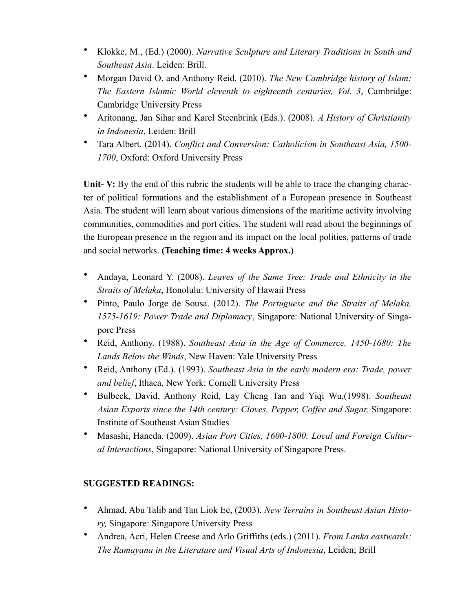- Klokke, M., (Ed.) (2000). *Narrative Sculpture and Literary Traditions in South and Southeast Asia*. Leiden: Brill.
- Morgan David O. and Anthony Reid. (2010). *The New Cambridge history of Islam: The Eastern Islamic World eleventh to eighteenth centuries, Vol. 3*, Cambridge: Cambridge University Press
- Aritonang, Jan Sihar and Karel Steenbrink (Eds.). (2008). *A History of Christianity in Indonesia*, Leiden: Brill
- Tara Albert. (2014). *Conflict and Conversion: Catholicism in Southeast Asia, 1500- 1700*, Oxford: Oxford University Press

Unit- V: By the end of this rubric the students will be able to trace the changing character of political formations and the establishment of a European presence in Southeast Asia. The student will learn about various dimensions of the maritime activity involving communities, commodities and port cities. The student will read about the beginnings of the European presence in the region and its impact on the local polities, patterns of trade and social networks. **(Teaching time: 4 weeks Approx.)**

- Andaya, Leonard Y. (2008). *Leaves of the Same Tree: Trade and Ethnicity in the Straits of Melaka*, Honolulu: University of Hawaii Press
- Pinto, Paulo Jorge de Sousa. (2012). *The Portuguese and the Straits of Melaka, 1575-1619: Power Trade and Diplomacy*, Singapore: National University of Singapore Press
- Reid, Anthony. (1988). *Southeast Asia in the Age of Commerce, 1450-1680: The Lands Below the Winds*, New Haven: Yale University Press
- Reid, Anthony (Ed.). (1993). *Southeast Asia in the early modern era: Trade, power and belief*, Ithaca, New York: Cornell University Press
- Bulbeck, David, Anthony Reid, Lay Cheng Tan and Yiqi Wu,(1998). *Southeast Asian Exports since the 14th century: Cloves, Pepper, Coffee and Sugar,* Singapore: Institute of Southeast Asian Studies
- Masashi, Haneda. (2009). *Asian Port Cities, 1600-1800: Local and Foreign Cultural Interactions*, Singapore: National University of Singapore Press.

# **SUGGESTED READINGS:**

- Ahmad, Abu Talib and Tan Liok Ee, (2003). *New Terrains in Southeast Asian History,* Singapore: Singapore University Press
- Andrea, Acri, Helen Creese and Arlo Griffiths (eds.) (2011). *From Lanka eastwards: The Ramayana in the Literature and Visual Arts of Indonesia*, Leiden; Brill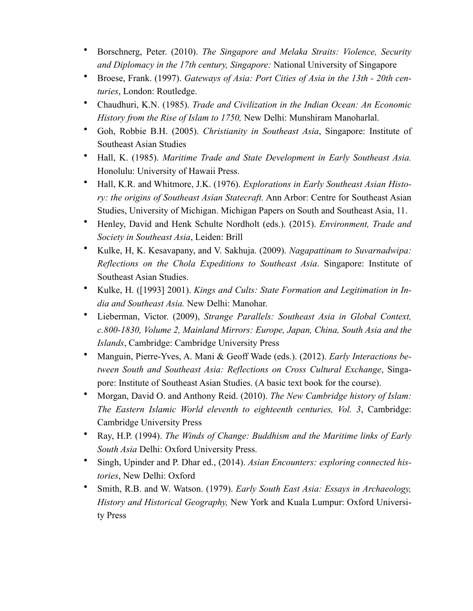- Borschnerg, Peter. (2010). *The Singapore and Melaka Straits: Violence, Security and Diplomacy in the 17th century, Singapore:* National University of Singapore
- Broese, Frank. (1997). *Gateways of Asia: Port Cities of Asia in the 13th 20th centuries*, London: Routledge.
- Chaudhuri, K.N. (1985). *Trade and Civilization in the Indian Ocean: An Economic History from the Rise of Islam to 1750,* New Delhi: Munshiram Manoharlal.
- Goh, Robbie B.H. (2005). *Christianity in Southeast Asia*, Singapore: Institute of Southeast Asian Studies
- Hall, K. (1985). *Maritime Trade and State Development in Early Southeast Asia.*  Honolulu: University of Hawaii Press.
- Hall, K.R. and Whitmore, J.K. (1976). *Explorations in Early Southeast Asian History: the origins of Southeast Asian Statecraft.* Ann Arbor: Centre for Southeast Asian Studies, University of Michigan. Michigan Papers on South and Southeast Asia, 11.
- Henley, David and Henk Schulte Nordholt (eds.). (2015). *Environment, Trade and Society in Southeast Asia*, Leiden: Brill
- Kulke, H, K. Kesavapany, and V. Sakhuja. (2009). *Nagapattinam to Suvarnadwipa: Reflections on the Chola Expeditions to Southeast Asia*. Singapore: Institute of Southeast Asian Studies.
- Kulke, H. ([1993] 2001). *Kings and Cults: State Formation and Legitimation in India and Southeast Asia.* New Delhi: Manohar.
- Lieberman, Victor. (2009), *Strange Parallels: Southeast Asia in Global Context, c.800-1830, Volume 2, Mainland Mirrors: Europe, Japan, China, South Asia and the Islands*, Cambridge: Cambridge University Press
- Manguin, Pierre-Yves, A. Mani & Geoff Wade (eds.). (2012). *Early Interactions between South and Southeast Asia: Reflections on Cross Cultural Exchange*, Singapore: Institute of Southeast Asian Studies. (A basic text book for the course).
- Morgan, David O. and Anthony Reid. (2010). *The New Cambridge history of Islam: The Eastern Islamic World eleventh to eighteenth centuries, Vol. 3*, Cambridge: Cambridge University Press
- Ray, H.P. (1994). *The Winds of Change: Buddhism and the Maritime links of Early South Asia* Delhi: Oxford University Press.
- Singh, Upinder and P. Dhar ed., (2014). *Asian Encounters: exploring connected histories*, New Delhi: Oxford
- Smith, R.B. and W. Watson. (1979). *Early South East Asia: Essays in Archaeology, History and Historical Geography,* New York and Kuala Lumpur: Oxford University Press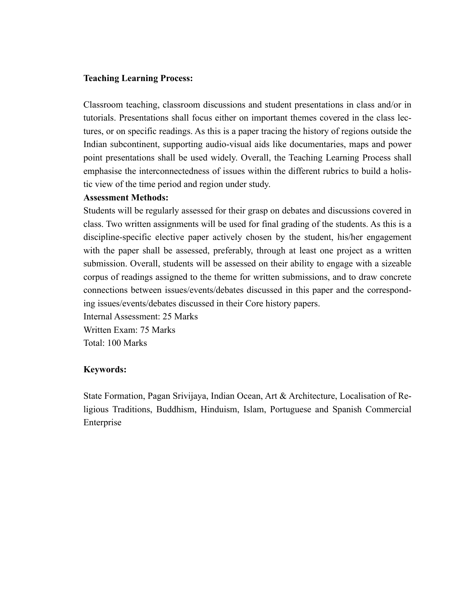#### **Teaching Learning Process:**

Classroom teaching, classroom discussions and student presentations in class and/or in tutorials. Presentations shall focus either on important themes covered in the class lectures, or on specific readings. As this is a paper tracing the history of regions outside the Indian subcontinent, supporting audio-visual aids like documentaries, maps and power point presentations shall be used widely. Overall, the Teaching Learning Process shall emphasise the interconnectedness of issues within the different rubrics to build a holistic view of the time period and region under study.

#### **Assessment Methods:**

Students will be regularly assessed for their grasp on debates and discussions covered in class. Two written assignments will be used for final grading of the students. As this is a discipline-specific elective paper actively chosen by the student, his/her engagement with the paper shall be assessed, preferably, through at least one project as a written submission. Overall, students will be assessed on their ability to engage with a sizeable corpus of readings assigned to the theme for written submissions, and to draw concrete connections between issues/events/debates discussed in this paper and the corresponding issues/events/debates discussed in their Core history papers.

Internal Assessment: 25 Marks Written Exam: 75 Marks Total: 100 Marks

#### **Keywords:**

State Formation, Pagan Srivijaya, Indian Ocean, Art & Architecture, Localisation of Religious Traditions, Buddhism, Hinduism, Islam, Portuguese and Spanish Commercial Enterprise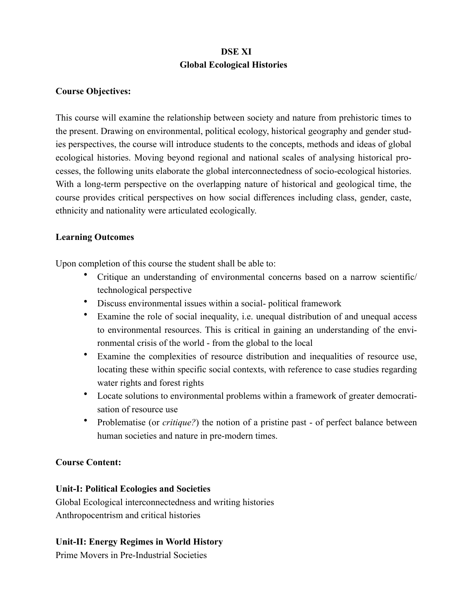# **DSE XI Global Ecological Histories**

## **Course Objectives:**

This course will examine the relationship between society and nature from prehistoric times to the present. Drawing on environmental, political ecology, historical geography and gender studies perspectives, the course will introduce students to the concepts, methods and ideas of global ecological histories. Moving beyond regional and national scales of analysing historical processes, the following units elaborate the global interconnectedness of socio-ecological histories. With a long-term perspective on the overlapping nature of historical and geological time, the course provides critical perspectives on how social differences including class, gender, caste, ethnicity and nationality were articulated ecologically.

## **Learning Outcomes**

Upon completion of this course the student shall be able to:

- Critique an understanding of environmental concerns based on a narrow scientific/ technological perspective
- Discuss environmental issues within a social- political framework
- Examine the role of social inequality, i.e. unequal distribution of and unequal access to environmental resources. This is critical in gaining an understanding of the environmental crisis of the world - from the global to the local
- Examine the complexities of resource distribution and inequalities of resource use, locating these within specific social contexts, with reference to case studies regarding water rights and forest rights
- Locate solutions to environmental problems within a framework of greater democratisation of resource use
- Problematise (or *critique?*) the notion of a pristine past of perfect balance between human societies and nature in pre-modern times.

## **Course Content:**

## **Unit-I: Political Ecologies and Societies**

Global Ecological interconnectedness and writing histories Anthropocentrism and critical histories

# **Unit-II: Energy Regimes in World History**

Prime Movers in Pre-Industrial Societies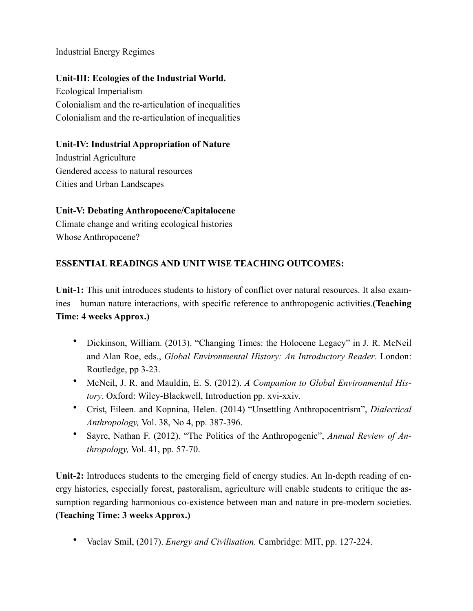Industrial Energy Regimes

# **Unit-III: Ecologies of the Industrial World.**

Ecological Imperialism Colonialism and the re-articulation of inequalities Colonialism and the re-articulation of inequalities

# **Unit-IV: Industrial Appropriation of Nature**

Industrial Agriculture Gendered access to natural resources Cities and Urban Landscapes

# **Unit-V: Debating Anthropocene/Capitalocene**

Climate change and writing ecological histories Whose Anthropocene?

# **ESSENTIAL READINGS AND UNIT WISE TEACHING OUTCOMES:**

**Unit-1:** This unit introduces students to history of conflict over natural resources. It also examines human nature interactions, with specific reference to anthropogenic activities.**(Teaching Time: 4 weeks Approx.)**

- Dickinson, William. (2013). "Changing Times: the Holocene Legacy" in J. R. McNeil and Alan Roe, eds., *Global Environmental History: An Introductory Reader*. London: Routledge, pp 3-23.
- McNeil, J. R. and Mauldin, E. S. (2012). *A Companion to Global Environmental History*. Oxford: Wiley-Blackwell, Introduction pp. xvi-xxiv.
- Crist, Eileen. and Kopnina, Helen. (2014) "Unsettling Anthropocentrism", *Dialectical Anthropology,* Vol. 38, No 4, pp. 387-396.
- Sayre, Nathan F. (2012). "The Politics of the Anthropogenic", *Annual Review of Anthropology,* Vol. 41, pp. 57-70.

**Unit-2:** Introduces students to the emerging field of energy studies. An In-depth reading of energy histories, especially forest, pastoralism, agriculture will enable students to critique the assumption regarding harmonious co-existence between man and nature in pre-modern societies. **(Teaching Time: 3 weeks Approx.)**

• Vaclav Smil, (2017). *Energy and Civilisation.* Cambridge: MIT, pp. 127-224.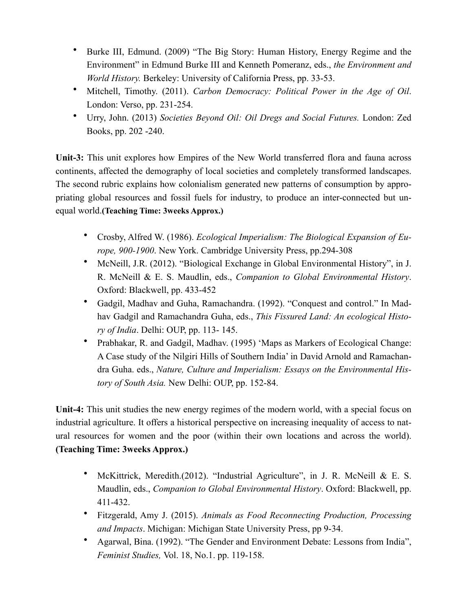- Burke III, Edmund. (2009) "The Big Story: Human History, Energy Regime and the Environment" in Edmund Burke III and Kenneth Pomeranz, eds., *the Environment and World History.* Berkeley: University of California Press, pp. 33-53.
- Mitchell, Timothy. (2011). *Carbon Democracy: Political Power in the Age of Oil*. London: Verso, pp. 231-254.
- Urry, John. (2013) *Societies Beyond Oil: Oil Dregs and Social Futures.* London: Zed Books, pp. 202 -240.

**Unit-3:** This unit explores how Empires of the New World transferred flora and fauna across continents, affected the demography of local societies and completely transformed landscapes. The second rubric explains how colonialism generated new patterns of consumption by appropriating global resources and fossil fuels for industry, to produce an inter-connected but unequal world.**(Teaching Time: 3weeks Approx.)**

- Crosby, Alfred W. (1986). *Ecological Imperialism: The Biological Expansion of Europe, 900-1900*. New York. Cambridge University Press, pp.294-308
- McNeill, J.R. (2012). "Biological Exchange in Global Environmental History", in J. R. McNeill & E. S. Maudlin, eds., *Companion to Global Environmental History*. Oxford: Blackwell, pp. 433-452
- Gadgil, Madhav and Guha, Ramachandra. (1992). "Conquest and control." In Madhav Gadgil and Ramachandra Guha, eds., *This Fissured Land: An ecological History of India*. Delhi: OUP, pp. 113- 145.
- Prabhakar, R. and Gadgil, Madhav. (1995) 'Maps as Markers of Ecological Change: A Case study of the Nilgiri Hills of Southern India' in David Arnold and Ramachandra Guha. eds., *Nature, Culture and Imperialism: Essays on the Environmental History of South Asia.* New Delhi: OUP, pp. 152-84.

**Unit-4:** This unit studies the new energy regimes of the modern world, with a special focus on industrial agriculture. It offers a historical perspective on increasing inequality of access to natural resources for women and the poor (within their own locations and across the world). **(Teaching Time: 3weeks Approx.)**

- McKittrick, Meredith.(2012). "Industrial Agriculture", in J. R. McNeill & E. S. Maudlin, eds., *Companion to Global Environmental History*. Oxford: Blackwell, pp. 411-432.
- Fitzgerald, Amy J. (2015). *Animals as Food Reconnecting Production, Processing and Impacts*. Michigan: Michigan State University Press, pp 9-34.
- Agarwal, Bina. (1992). "The Gender and Environment Debate: Lessons from India", *Feminist Studies,* Vol. 18, No.1. pp. 119-158.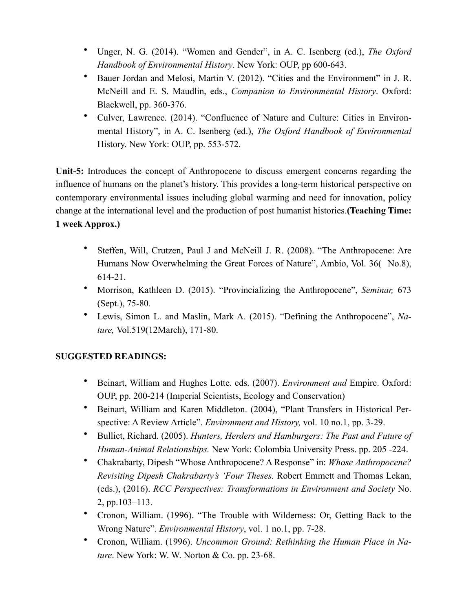- Unger, N. G. (2014). "Women and Gender", in A. C. Isenberg (ed.), *The Oxford Handbook of Environmental History*. New York: OUP, pp 600-643.
- Bauer Jordan and Melosi, Martin V. (2012). "Cities and the Environment" in J. R. McNeill and E. S. Maudlin, eds., *Companion to Environmental History*. Oxford: Blackwell, pp. 360-376.
- Culver, Lawrence. (2014). "Confluence of Nature and Culture: Cities in Environmental History", in A. C. Isenberg (ed.), *The Oxford Handbook of Environmental*  History. New York: OUP, pp. 553-572.

**Unit-5:** Introduces the concept of Anthropocene to discuss emergent concerns regarding the influence of humans on the planet's history. This provides a long-term historical perspective on contemporary environmental issues including global warming and need for innovation, policy change at the international level and the production of post humanist histories.**(Teaching Time:** 

# **1 week Approx.)**

- Steffen, Will, Crutzen, Paul J and McNeill J. R. (2008). "The Anthropocene: Are Humans Now Overwhelming the Great Forces of Nature", Ambio, Vol. 36( No.8), 614-21.
- Morrison, Kathleen D. (2015). "Provincializing the Anthropocene", *Seminar,* 673 (Sept.), 75-80.
- Lewis, Simon L. and Maslin, Mark A. (2015). "Defining the Anthropocene", *Nature,* Vol.519(12March), 171-80.

# **SUGGESTED READINGS:**

- Beinart, William and Hughes Lotte. eds. (2007). *Environment and* Empire. Oxford: OUP, pp. 200-214 (Imperial Scientists, Ecology and Conservation)
- Beinart, William and Karen Middleton. (2004), "Plant Transfers in Historical Perspective: A Review Article". *Environment and History,* vol. 10 no.1, pp. 3-29.
- Bulliet, Richard. (2005). *Hunters, Herders and Hamburgers: The Past and Future of Human-Animal Relationships.* New York: Colombia University Press. pp. 205 -224.
- Chakrabarty, Dipesh "Whose Anthropocene? A Response" in: *Whose Anthropocene? Revisiting Dipesh Chakrabarty's 'Four Theses.* Robert Emmett and Thomas Lekan, (eds.), (2016). *RCC Perspectives: Transformations in Environment and Society* No. 2, pp.103–113.
- Cronon, William. (1996). "The Trouble with Wilderness: Or, Getting Back to the Wrong Nature". *Environmental History*, vol. 1 no.1, pp. 7-28.
- Cronon, William. (1996). *Uncommon Ground: Rethinking the Human Place in Nature*. New York: W. W. Norton & Co. pp. 23-68.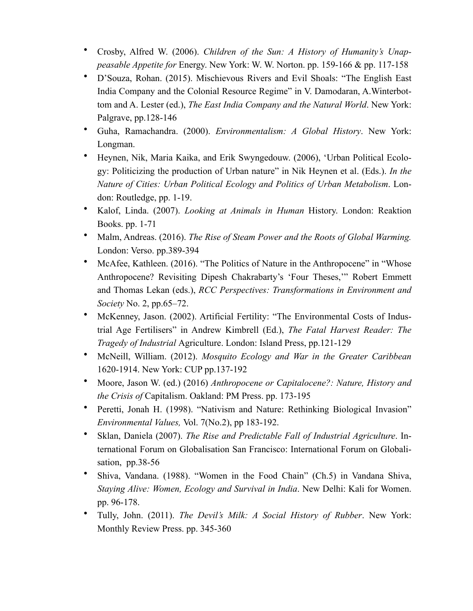- Crosby, Alfred W. (2006). *Children of the Sun: A History of Humanity's Unappeasable Appetite for* Energy. New York: W. W. Norton. pp. 159-166 & pp. 117-158
- D'Souza, Rohan. (2015). Mischievous Rivers and Evil Shoals: "The English East India Company and the Colonial Resource Regime" in V. Damodaran, A.Winterbottom and A. Lester (ed.), *The East India Company and the Natural World*. New York: Palgrave, pp.128-146
- Guha, Ramachandra. (2000). *Environmentalism: A Global History*. New York: Longman.
- Heynen, Nik, Maria Kaika, and Erik Swyngedouw. (2006), 'Urban Political Ecology: Politicizing the production of Urban nature" in Nik Heynen et al. (Eds.). *In the Nature of Cities: Urban Political Ecology and Politics of Urban Metabolism*. London: Routledge, pp. 1-19.
- Kalof, Linda. (2007). *Looking at Animals in Human* History. London: Reaktion Books. pp. 1-71
- Malm, Andreas. (2016). *The Rise of Steam Power and the Roots of Global Warming.*  London: Verso. pp.389-394
- McAfee, Kathleen. (2016). "The Politics of Nature in the Anthropocene" in "Whose Anthropocene? Revisiting Dipesh Chakrabarty's 'Four Theses,'" Robert Emmett and Thomas Lekan (eds.), *RCC Perspectives: Transformations in Environment and Society* No. 2, pp.65–72.
- McKenney, Jason. (2002). Artificial Fertility: "The Environmental Costs of Industrial Age Fertilisers" in Andrew Kimbrell (Ed.), *The Fatal Harvest Reader: The Tragedy of Industrial* Agriculture. London: Island Press, pp.121-129
- McNeill, William. (2012). *Mosquito Ecology and War in the Greater Caribbean* 1620-1914. New York: CUP pp.137-192
- Moore, Jason W. (ed.) (2016) *Anthropocene or Capitalocene?: Nature, History and the Crisis of* Capitalism. Oakland: PM Press. pp. 173-195
- Peretti, Jonah H. (1998). "Nativism and Nature: Rethinking Biological Invasion" *Environmental Values,* Vol. 7(No.2), pp 183-192.
- Sklan, Daniela (2007). *The Rise and Predictable Fall of Industrial Agriculture*. International Forum on Globalisation San Francisco: International Forum on Globalisation, pp.38-56
- Shiva, Vandana. (1988). "Women in the Food Chain" (Ch.5) in Vandana Shiva, *Staying Alive: Women, Ecology and Survival in India*. New Delhi: Kali for Women. pp. 96-178.
- Tully, John. (2011). *The Devil's Milk: A Social History of Rubber*. New York: Monthly Review Press. pp. 345-360